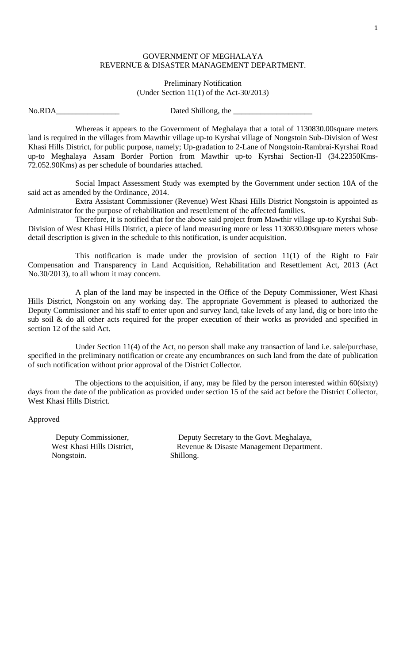## GOVERNMENT OF MEGHALAYA REVERNUE & DISASTER MANAGEMENT DEPARTMENT.

Preliminary Notification (Under Section 11(1) of the Act-30/2013)

No.RDA<sub>\_\_\_\_\_\_\_\_\_\_\_\_\_\_\_\_\_\_\_\_\_\_</sub> Dated Shillong, the \_\_\_\_\_\_\_\_\_\_\_\_\_\_\_\_\_\_\_\_\_\_\_\_\_\_\_\_\_\_\_

Whereas it appears to the Government of Meghalaya that a total of 1130830.00square meters land is required in the villages from Mawthir village up-to Kyrshai village of Nongstoin Sub-Division of West Khasi Hills District, for public purpose, namely; Up-gradation to 2-Lane of Nongstoin-Rambrai-Kyrshai Road up-to Meghalaya Assam Border Portion from Mawthir up-to Kyrshai Section-II (34.22350Kms-72.052.90Kms) as per schedule of boundaries attached.

Social Impact Assessment Study was exempted by the Government under section 10A of the said act as amended by the Ordinance, 2014.

Extra Assistant Commissioner (Revenue) West Khasi Hills District Nongstoin is appointed as Administrator for the purpose of rehabilitation and resettlement of the affected families.

Therefore, it is notified that for the above said project from Mawthir village up-to Kyrshai Sub-Division of West Khasi Hills District, a piece of land measuring more or less 1130830.00square meters whose detail description is given in the schedule to this notification, is under acquisition.

This notification is made under the provision of section 11(1) of the Right to Fair Compensation and Transparency in Land Acquisition, Rehabilitation and Resettlement Act, 2013 (Act No.30/2013), to all whom it may concern.

A plan of the land may be inspected in the Office of the Deputy Commissioner, West Khasi Hills District, Nongstoin on any working day. The appropriate Government is pleased to authorized the Deputy Commissioner and his staff to enter upon and survey land, take levels of any land, dig or bore into the sub soil & do all other acts required for the proper execution of their works as provided and specified in section 12 of the said Act.

Under Section 11(4) of the Act, no person shall make any transaction of land i.e. sale/purchase, specified in the preliminary notification or create any encumbrances on such land from the date of publication of such notification without prior approval of the District Collector.

The objections to the acquisition, if any, may be filed by the person interested within 60(sixty) days from the date of the publication as provided under section 15 of the said act before the District Collector, West Khasi Hills District.

Approved

Nongstoin. Shillong.

 Deputy Commissioner, Deputy Secretary to the Govt. Meghalaya, West Khasi Hills District, Revenue & Disaste Management Department.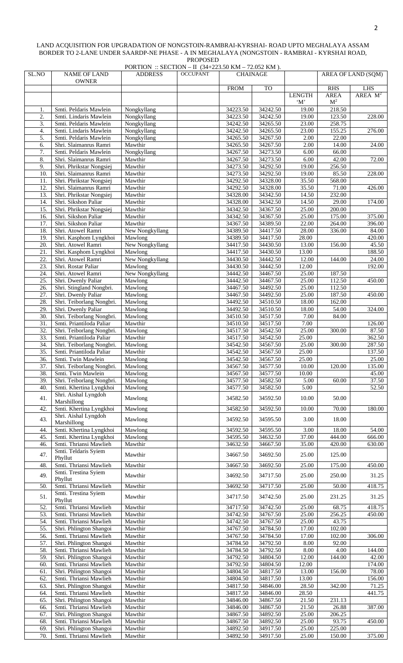## LAND ACQUISITION FOR UPGRADATION OF NONGSTOIN-RAMBRAI-KYRSHAI- ROAD UPTO MEGHALAYA ASSAM BORDER TO 2-LANE UNDER SAARDP-NE PHASE - A IN MEGHALAYA (NONGSTOIN - RAMBRAI - KYRSHAI ROAD, PROPOSED

| SL.NO                  | <b>NAME OF LAND</b>                                   | PORTION :: SECTION - II $(34+223.50 \text{ KM} - 72.052 \text{ KM})$ .<br><b>ADDRESS</b> | <b>OCCUPANT</b> | <b>CHAINAGE</b>      |                      |                                      |                          | AREA OF LAND (SQM)  |
|------------------------|-------------------------------------------------------|------------------------------------------------------------------------------------------|-----------------|----------------------|----------------------|--------------------------------------|--------------------------|---------------------|
|                        | <b>OWNER</b>                                          |                                                                                          |                 | <b>FROM</b>          | <b>TO</b>            |                                      | <b>RHS</b>               | <b>LHS</b>          |
|                        |                                                       |                                                                                          |                 |                      |                      | <b>LENGTH</b>                        | <b>AREA</b>              | AREA M <sup>2</sup> |
|                        | Smti. Peldaris Mawlein                                | Nongkyllang                                                                              |                 | 34223.50             | 34242.50             | $^{\cdot}\!{\rm M}^{\cdot}$<br>19.00 | M <sup>2</sup><br>218.50 |                     |
| 1.<br>2.               | Smti. Lindaris Mawlein                                | Nongkyllang                                                                              |                 | 34223.50             | 34242.50             | 19.00                                | 123.50                   | 228.00              |
| 3.                     | Smti. Peldaris Mawlein                                | Nongkyllang                                                                              |                 | 34242.50             | 34265.50             | 23.00                                | 258.75                   |                     |
| 4.                     | Smti. Lindaris Mawlein                                | Nongkyllang                                                                              |                 | 34242.50             | 34265.50             | 23.00                                | 155.25                   | 276.00              |
| 5.                     | Smti. Peldaris Mawlein<br>Shri. Slaimanrus Ramri      | Nongkyllang<br>Mawthir                                                                   |                 | 34265.50<br>34265.50 | 34267.50<br>34267.50 | 2.00<br>2.00                         | 22.00<br>14.00           | 24.00               |
| 6.<br>$\overline{7}$ . | Smti. Peldaris Mawlein                                | Nongkyllang                                                                              |                 | 34267.50             | 34273.50             | 6.00                                 | 66.00                    |                     |
| 8.                     | Shri. Slaimanrus Ramri                                | Mawthir                                                                                  |                 | 34267.50             | 34273.50             | 6.00                                 | 42.00                    | 72.00               |
| 9.                     | Shri. Phrikstar Nongsiej                              | Mawthir                                                                                  |                 | 34273.50             | 34292.50             | 19.00                                | 256.50                   |                     |
| 10.<br>11.             | Shri. Slaimanrus Ramri                                | Mawthir<br>Mawthir                                                                       |                 | 34273.50<br>34292.50 | 34292.50<br>34328.00 | 19.00<br>35.50                       | 85.50                    | 228.00              |
| 12.                    | Shri. Phrikstar Nongsiej<br>Shri. Slaimanrus Ramri    | Mawthir                                                                                  |                 | 34292.50             | 34328.00             | 35.50                                | 568.00<br>71.00          | 426.00              |
| 13.                    | Shri. Phrikstar Nongsiej                              | Mawthir                                                                                  |                 | 34328.00             | 34342.50             | 14.50                                | 232.00                   |                     |
| 14.                    | Shri. Sikshon Paliar                                  | Mawthir                                                                                  |                 | 34328.00             | 34342.50             | 14.50                                | 29.00                    | 174.00              |
| 15.                    | Shri. Phrikstar Nongsiej                              | Mawthir                                                                                  |                 | 34342.50             | 34367.50             | 25.00                                | 200.00                   |                     |
| 16.<br>17.             | Shri. Sikshon Paliar<br>Shri. Sikshon Paliar          | Mawthir<br>Mawthir                                                                       |                 | 34342.50<br>34367.50 | 34367.50<br>34389.50 | 25.00<br>22.00                       | 175.00<br>264.00         | 375.00<br>396.00    |
| 18.                    | Shri. Atowel Ramri                                    | New Nongkyllang                                                                          |                 | 34389.50             | 34417.50             | 28.00                                | 336.00                   | 84.00               |
| 19.                    | Shri. Kasphom Lyngkhoi                                | Mawlong                                                                                  |                 | 34389.50             | 34417.50             | 28.00                                |                          | 420.00              |
| 20.                    | Shri. Atowel Ramri                                    | New Nongkyllang                                                                          |                 | 34417.50             | 34430.50             | 13.00                                | 156.00                   | 45.50               |
| 21.<br>22.             | Shri. Kasphom Lyngkhoi<br>Shri. Atowel Ramri          | Mawlong<br>New Nongkyllang                                                               |                 | 34417.50<br>34430.50 | 34430.50<br>34442.50 | 13.00<br>12.00                       | 144.00                   | 188.50<br>24.00     |
| $\overline{23}$ .      | Shri. Rostar Paliar                                   | Mawlong                                                                                  |                 | 34430.50             | 34442.50             | $\overline{12.00}$                   |                          | 192.00              |
| 24.                    | Shri. Atowel Ramri                                    | New Nongkyllang                                                                          |                 | 34442.50             | 34467.50             | 25.00                                | 187.50                   |                     |
| 25.                    | Shri. Dwenly Paliar                                   | Mawlong                                                                                  |                 | 34442.50             | 34467.50             | 25.00                                | 112.50                   | 450.00              |
| 26.                    | Shri. Stingland Nongbri.                              | Mawlong                                                                                  |                 | 34467.50             | 34492.50             | 25.00                                | 112.50                   |                     |
| 27.<br>28.             | Shri. Dwenly Paliar<br>Shri. Teiborlang Nongbri.      | Mawlong<br>Mawlong                                                                       |                 | 34467.50<br>34492.50 | 34492.50<br>34510.50 | 25.00<br>18.00                       | 187.50<br>162.00         | 450.00              |
| 29.                    | Shri. Dwenly Paliar                                   | Mawlong                                                                                  |                 | 34492.50             | 34510.50             | 18.00                                | 54.00                    | 324.00              |
| 30.                    | Shri. Teiborlang Nongbri.                             | Mawlong                                                                                  |                 | 34510.50             | 34517.50             | 7.00                                 | 84.00                    |                     |
| 31.                    | Smti. Priantiloda Paliar                              | Mawthir                                                                                  |                 | 34510.50             | 34517.50             | 7.00                                 |                          | 126.00              |
| 32.<br>33.             | Shri. Teiborlang Nongbri.                             | Mawlong                                                                                  |                 | 34517.50<br>34517.50 | 34542.50             | 25.00                                | 300.00                   | 87.50               |
| 34.                    | Smti. Priantiloda Paliar<br>Shri. Teiborlang Nongbri. | Mawthir<br>Mawlong                                                                       |                 | 34542.50             | 34542.50<br>34567.50 | 25.00<br>25.00                       | 300.00                   | 362.50<br>287.50    |
| 35.                    | Smti. Priantiloda Paliar                              | Mawthir                                                                                  |                 | 34542.50             | 34567.50             | 25.00                                |                          | 137.50              |
| 36.                    | Smti. Twin Mawlein                                    | Mawlong                                                                                  |                 | 34542.50             | 34567.50             | 25.00                                |                          | 25.00               |
| 37.<br>38.             | Shri. Teiborlang Nongbri.<br>Smti. Twin Mawlein       | Mawlong<br>Mawlong                                                                       |                 | 34567.50<br>34567.50 | 34577.50<br>34577.50 | 10.00<br>10.00                       | 120.00                   | 135.00<br>45.00     |
| 39.                    | Shri. Teiborlang Nongbri.                             | Mawlong                                                                                  |                 | 34577.50             | 34582.50             | 5.00                                 | 60.00                    | 37.50               |
| 40.                    | Smti. Khertina Lyngkhoi                               | Mawlong                                                                                  |                 | 34577.50             | 34582.50             | 5.00                                 |                          | 52.50               |
| 41.                    | Shri. Aishal Lyngdoh                                  | Mawlong                                                                                  |                 | 34582.50             | 34592.50             | 10.00                                | 50.00                    |                     |
| 42.                    | Marshillong<br>Smti. Khertina Lyngkhoi                | Mawlong                                                                                  |                 |                      | 34592.50             |                                      | 70.00                    |                     |
|                        | Shri. Aishal Lyngdoh                                  |                                                                                          |                 | 34582.50             |                      | 10.00                                |                          | 180.00              |
| 43.                    | Marshillong                                           | Mawlong                                                                                  |                 | 34592.50             | 34595.50             | 3.00                                 | 18.00                    |                     |
| 44.                    | Smti. Khertina Lyngkhoi                               | Mawlong                                                                                  |                 | 34592.50             | 34595.50             | 3.00                                 | 18.00                    | 54.00               |
| 45.<br>46.             | Smti. Khertina Lyngkhoi                               | $\overline{\text{M}}$ awlong                                                             |                 | 34595.50             | 34632.50             | 37.00                                | 444.00                   | 666.00              |
|                        | Smti. Thriansi Mawlieh<br>Smti. Teldaris Syiem        | Mawthir                                                                                  |                 | 34632.50             | 34667.50             | 35.00                                | 420.00                   | 630.00              |
| 47.                    | Phyllut                                               | Mawthir                                                                                  |                 | 34667.50             | 34692.50             | 25.00                                | 125.00                   |                     |
| 48.                    | Smti. Thriansi Mawlieh                                | Mawthir                                                                                  |                 | 34667.50             | 34692.50             | 25.00                                | 175.00                   | 450.00              |
| 49.                    | Smti. Trestina Syiem                                  | Mawthir                                                                                  |                 | 34692.50             | 34717.50             | 25.00                                | 250.00                   | 31.25               |
| 50.                    | Phyllut<br>Smti. Thriansi Mawlieh                     | Mawthir                                                                                  |                 | 34692.50             | 34717.50             | 25.00                                | 50.00                    | 418.75              |
| 51.                    | Smti. Trestina Syiem                                  | Mawthir                                                                                  |                 | 34717.50             | 34742.50             | 25.00                                | 231.25                   | 31.25               |
|                        | Phyllut                                               |                                                                                          |                 |                      |                      |                                      |                          |                     |
| $\overline{52}$<br>53. | Smti. Thriansi Mawlieh<br>Smti. Thriansi Mawlieh      | Mawthir<br>Mawthir                                                                       |                 | 34717.50<br>34742.50 | 34742.50<br>34767.50 | 25.00<br>25.00                       | 68.75<br>256.25          | 418.75<br>450.00    |
| 54.                    | Smti. Thriansi Mawlieh                                | Mawthir                                                                                  |                 | 34742.50             | 34767.50             | 25.00                                | 43.75                    |                     |
| 55.                    | Shri. Phlington Shangoi                               | Mawthir                                                                                  |                 | 34767.50             | 34784.50             | 17.00                                | 102.00                   |                     |
| 56.                    | Smti. Thriansi Mawlieh                                | Mawthir                                                                                  |                 | 34767.50             | 34784.50             | 17.00                                | 102.00                   | 306.00              |
| 57.<br>58.             | Shri. Phlington Shangoi<br>Smti. Thriansi Mawlieh     | Mawthir<br>Mawthir                                                                       |                 | 34784.50<br>34784.50 | 34792.50             | $8.00\,$                             | 92.00<br>4.00            |                     |
| 59.                    | Shri. Phlington Shangoi                               | Mawthir                                                                                  |                 | 34792.50             | 34792.50<br>34804.50 | 8.00<br>12.00                        | 144.00                   | 144.00<br>42.00     |
| 60.                    | Smti. Thriansi Mawlieh                                | Mawthir                                                                                  |                 | 34792.50             | 34804.50             | 12.00                                |                          | 174.00              |
| 61.                    | Shri. Phlington Shangoi                               | Mawthir                                                                                  |                 | 34804.50             | 34817.50             | 13.00                                | 156.00                   | 78.00               |
| 62.                    | Smti. Thriansi Mawlieh                                | Mawthir                                                                                  |                 | 34804.50             | 34817.50             | 13.00                                |                          | 156.00              |
| 63.<br>64.             | Shri. Phlington Shangoi<br>Smti. Thriansi Mawlieh     | Mawthir<br>Mawthir                                                                       |                 | 34817.50<br>34817.50 | 34846.00<br>34846.00 | 28.50<br>28.50                       | 342.00                   | 71.25<br>441.75     |
| 65.                    | Shri. Phlington Shangoi                               | Mawthir                                                                                  |                 | 34846.00             | 34867.50             | 21.50                                | 231.13                   |                     |
| 66.                    | Smti. Thriansi Mawlieh                                | Mawthir                                                                                  |                 | 34846.00             | 34867.50             | 21.50                                | 26.88                    | 387.00              |
| $\overline{67}$ .      | Shri. Phlington Shangoi                               | Mawthir                                                                                  |                 | 34867.50             | 34892.50             | 25.00                                | 206.25                   |                     |
| 68.<br>69.             | Smti. Thriansi Mawlieh<br>Shri. Phlington Shangoi     | Mawthir<br>Mawthir                                                                       |                 | 34867.50<br>34892.50 | 34892.50<br>34917.50 | 25.00<br>25.00                       | 93.75<br>225.00          | 450.00              |
| 70.                    | Smti. Thriansi Mawlieh                                | Mawthir                                                                                  |                 | 34892.50             | 34917.50             | 25.00                                | 150.00                   | 375.00              |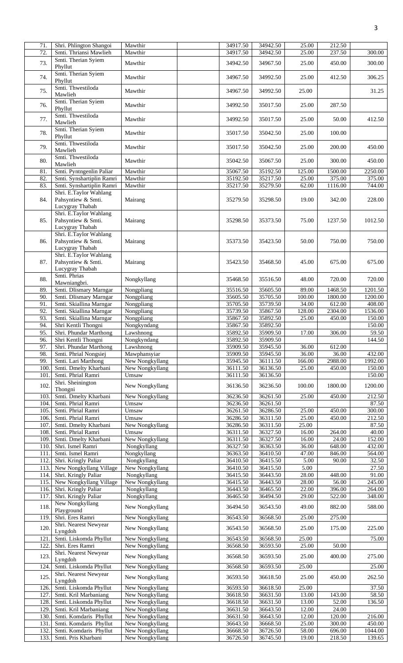| 71.             | Shri. Phlington Shangoi                       | Mawthir                            | 34917.50             | 34942.50             | 25.00          | 212.50           |                   |
|-----------------|-----------------------------------------------|------------------------------------|----------------------|----------------------|----------------|------------------|-------------------|
| $\overline{72}$ | Smti. Thriansi Mawlieh                        | Mawthir                            | 34917.50             | 34942.50             | 25.00          | 237.50           | 300.00            |
|                 | Smti. Therian Syiem                           |                                    |                      |                      |                |                  |                   |
| 73.             |                                               | Mawthir                            | 34942.50             | 34967.50             | 25.00          | 450.00           | 300.00            |
|                 | Phyllut                                       |                                    |                      |                      |                |                  |                   |
|                 | Smti. Therian Syiem                           |                                    |                      |                      |                |                  |                   |
| 74.             | Phyllut                                       | Mawthir                            | 34967.50             | 34992.50             | 25.00          | 412.50           | 306.25            |
|                 |                                               |                                    |                      |                      |                |                  |                   |
| 75.             | Smti. Thwestiloda                             | Mawthir                            | 34967.50             | 34992.50             | 25.00          |                  | 31.25             |
|                 | Mawlieh                                       |                                    |                      |                      |                |                  |                   |
|                 | Smti. Therian Syiem                           |                                    |                      |                      |                |                  |                   |
| 76.             |                                               | Mawthir                            | 34992.50             | 35017.50             | 25.00          | 287.50           |                   |
|                 | Phyllut                                       |                                    |                      |                      |                |                  |                   |
|                 | Smti. Thwestiloda                             |                                    |                      |                      |                |                  |                   |
| 77.             | Mawlieh                                       | Mawthir                            | 34992.50             | 35017.50             | 25.00          | 50.00            | 412.50            |
|                 |                                               |                                    |                      |                      |                |                  |                   |
| 78.             | Smti. Therian Syiem                           | Mawthir                            | 35017.50             | 35042.50             | 25.00          | 100.00           |                   |
|                 | Phyllut                                       |                                    |                      |                      |                |                  |                   |
|                 | Smti. Thwestiloda                             |                                    |                      |                      |                |                  |                   |
| 79.             | Mawlieh                                       | Mawthir                            | 35017.50             | 35042.50             | 25.00          | 200.00           | 450.00            |
|                 |                                               |                                    |                      |                      |                |                  |                   |
|                 | Smti. Thwestiloda                             | Mawthir                            |                      |                      |                |                  |                   |
| 80.             | Mawlieh                                       |                                    | 35042.50             | 35067.50             | 25.00          | 300.00           | 450.00            |
| 81.             | Smti. Pyntngenlin Paliar                      | Mawthir                            | 35067.50             | 35192.50             | 125.00         | 1500.00          | 2250.00           |
|                 |                                               |                                    |                      |                      |                |                  |                   |
| 82.             | Smti. Synshartiplin Ramri                     | Mawthir                            | 35192.50             | 35217.50             | 25.00          | 375.00           | 375.00            |
| 83.             | Smti. Synshartiplin Ramri                     | Mawthir                            | 35217.50             | 35279.50             | 62.00          | 1116.00          | 744.00            |
|                 |                                               |                                    |                      |                      |                |                  |                   |
|                 | Shri. E.Taylor Wahlang                        |                                    |                      |                      |                |                  |                   |
| 84.             | Pahsyntiew & Smti.                            | Mairang                            | 35279.50             | 35298.50             | 19.00          | 342.00           | 228.00            |
|                 | Lucygray Thabah                               |                                    |                      |                      |                |                  |                   |
|                 |                                               |                                    |                      |                      |                |                  |                   |
|                 | Shri. E.Taylor Wahlang                        |                                    |                      |                      |                |                  |                   |
| 85.             | Pahsyntiew & Smti.                            | Mairang                            | 35298.50             | 35373.50             | 75.00          | 1237.50          | 1012.50           |
|                 | Lucygray Thabah                               |                                    |                      |                      |                |                  |                   |
|                 |                                               |                                    |                      |                      |                |                  |                   |
|                 | Shri. E.Taylor Wahlang                        |                                    |                      |                      |                |                  |                   |
| 86.             | Pahsyntiew & Smti.                            | Mairang                            | 35373.50             | 35423.50             | 50.00          | 750.00           | 750.00            |
|                 | Lucygray Thabah                               |                                    |                      |                      |                |                  |                   |
|                 |                                               |                                    |                      |                      |                |                  |                   |
|                 | Shri. E.Taylor Wahlang                        |                                    |                      |                      |                |                  |                   |
| 87.             | Pahsyntiew & Smti.                            | Mairang                            | 35423.50             | 35468.50             | 45.00          | 675.00           | 675.00            |
|                 | Lucygray Thabah                               |                                    |                      |                      |                |                  |                   |
|                 |                                               |                                    |                      |                      |                |                  |                   |
| 88.             | Smti. Phrias                                  | Nongkyllang                        | 35468.50             | 35516.50             | 48.00          | 720.00           | 720.00            |
|                 | Mawniangbri.                                  |                                    |                      |                      |                |                  |                   |
| 89.             | Smti. Dlismary Marngar                        | Nongpliang                         | 35516.50             | 35605.50             | 89.00          | 1468.50          | 1201.50           |
|                 |                                               |                                    |                      |                      |                |                  |                   |
| 90.             | Smti. Dlismary Marngar                        | Nongpliang                         | 35605.50             | 35705.50             | 100.00         | 1800.00          | 1200.00           |
| 91.             | Smti. Skiallina Marngar                       | Nongpliang                         | 35705.50             | 35739.50             | 34.00          | 612.00           | 408.00            |
| 92.             | Smti. Skiallina Marngar                       | Nongpliang                         | 35739.50             | 35867.50             | 128.00         | 2304.00          | 1536.00           |
|                 |                                               |                                    |                      |                      |                |                  |                   |
| 93.             | Smti. Skiallina Marngar                       | Nongpliang                         | 35867.50             | 35892.50             | 25.00          | 450.00           | 150.00            |
| 94.             | Shri Kentli Thongni                           | Nongkyndang                        | 35867.50             | 35892.50             |                |                  | 150.00            |
| 95.             | Shri. Phundar Marthong                        | Lawshnong                          | 35892.50             | 35909.50             | 17.00          | 306.00           | 59.50             |
|                 |                                               |                                    |                      |                      |                |                  |                   |
| 96.             | Shri Kentli Thongni                           | Nongkyndang                        | 35892.50             | 35909.50             |                |                  | 144.50            |
|                 |                                               |                                    |                      |                      |                |                  |                   |
| 97.             |                                               |                                    |                      |                      | 36.00          | 612.00           |                   |
|                 | Shri. Phundar Marthong                        | Lawshnong                          | 35909.50             | 35945.50             |                |                  |                   |
| 98.             | Smti. Phrial Nongsiej                         | Mawphansyiar                       | 35909.50             | 35945.50             | 36.00          | 36.00            | 432.00            |
| 99.             | Smti. Lari Marthong                           | New Nongkyllang                    | 35945.50             | 36111.50             | 166.00         | 2988.00          | 1992.00           |
| 100             |                                               |                                    |                      |                      |                |                  |                   |
|                 | Smti. Dmelty Kharbani                         | New Nongkyllang                    | 36111.50             | 36136.50             | 25.00          | 450.00           | 150.00            |
| 101             | Smti. Phrial Ramri                            | Umsaw                              | 36111.50             | 36136.50             |                |                  | 150.00            |
|                 | Shri. Sheinington                             |                                    |                      |                      |                |                  |                   |
| 102.            |                                               | New Nongkyllang                    | 36136.50             | 36236.50             | 100.00         | 1800.00          | 1200.00           |
|                 | Thongni                                       |                                    |                      |                      |                |                  |                   |
| 103.            | Smti. Dmelty Kharbani                         | New Nongkyllang                    | 36236.50             | 36261.50             | 25.00          | 450.00           | 212.50            |
| 104             | Smti. Phrial Ramri                            | Umsaw                              | 36236.50             | 36261.50             |                |                  | 87.50             |
|                 |                                               |                                    |                      |                      |                |                  |                   |
| 105.            | Smti. Phrial Ramri                            | Umsaw                              | 36261.50             | 36286.50             | 25.00          | 450.00           | 300.00            |
| 106             | Smti. Phrial Ramri                            | Umsaw                              | 36286.50             | 36311.50             | 25.00          | 450.00           | 212.50            |
| 107             | Smti. Dmelty Kharbani                         | New Nongkyllang                    | 36286.50             | 36311.50             | 25.00          |                  | 87.50             |
|                 |                                               |                                    |                      |                      |                |                  |                   |
| 108.            | Smti. Phrial Ramri                            | Umsaw                              | 36311.50             | 36327.50             | 16.00          | 264.00           | 40.00             |
| 109.            | Smti. Dmelty Kharbani                         | New Nongkyllang                    | 36311.50             | 36327.50             | 16.00          | 24.00            | 152.00            |
| 110             | Shri. Ismel Ramri                             | Nongkyllang                        | 36327.50             | 36363.50             | 36.00          | 648.00           | 432.00            |
| 111             |                                               |                                    |                      |                      |                | 846.00           |                   |
|                 | Smti. Ismel Ramri                             | Nongkyllang                        | 36363.50             | 36410.50             | 47.00          |                  | 564.00            |
| 112             | Shri. Kringly Paliar                          | Nongkyllang                        | 36410.50             | 36415.50             | 5.00           | 90.00            | 32.50             |
| 113             | New Nongkyllang Village                       | New Nongkyllang                    | 36410.50             | 36415.50             | 5.00           |                  | 27.50             |
|                 |                                               |                                    |                      |                      |                |                  |                   |
| 114             | Shri. Kringly Paliar                          | Nongkyllang                        | 36415.50             | 36443.50             | 28.00          | 448.00           | 91.00             |
| 115.            | New Nongkyllang Village                       | New Nongkyllang                    | 36415.50             | 36443.50             | 28.00          | 56.00            | 245.00            |
| 116.            | Shri. Kringly Paliar                          | Nongkyllang                        | 36443.50             | 36465.50             | 22.00          | 396.00           | 264.00            |
|                 |                                               |                                    |                      |                      |                |                  |                   |
| 117             | Shri. Kringly Paliar                          | Nongkyllang                        | 36465.50             | 36494.50             | 29.00          | 522.00           | 348.00            |
|                 | New Nongkyllang                               |                                    |                      |                      |                |                  |                   |
| 118.            | Playground                                    | New Nongkyllang                    | 36494.50             | 36543.50             | 49.00          | 882.00           | 588.00            |
|                 |                                               |                                    |                      |                      |                |                  |                   |
| 119.            | Shri. Eres Ramri                              | New Nongkyllang                    | 36543.50             | 36568.50             | 25.00          | 275.00           |                   |
|                 | Shri. Nearest Newyear                         |                                    |                      |                      |                |                  |                   |
| 120.            | Lyngdoh                                       | New Nongkyllang                    | 36543.50             | 36568.50             | 25.00          | 175.00           | 225.00            |
|                 |                                               |                                    |                      |                      |                |                  |                   |
| 121             | Smti. Liskomda Phyllut                        | New Nongkyllang                    | 36543.50             | 36568.50             | 25.00          |                  | 75.00             |
| 122.            | Shri. Eres Ramri                              | New Nongkyllang                    | 36568.50             | 36593.50             | 25.00          | 50.00            |                   |
|                 | Shri. Nearest Newyear                         |                                    |                      |                      |                |                  |                   |
| 123.            |                                               | New Nongkyllang                    | 36568.50             | 36593.50             | 25.00          | 400.00           | 275.00            |
|                 | Lyngdoh                                       |                                    |                      |                      |                |                  |                   |
| 124             | Smti. Liskomda Phyllut                        | New Nongkyllang                    | 36568.50             | 36593.50             | 25.00          |                  | 25.00             |
|                 | Shri. Nearest Newyear                         |                                    |                      |                      |                |                  |                   |
| 125             | Lyngdoh                                       | New Nongkyllang                    | 36593.50             | 36618.50             | 25.00          | 450.00           | 262.50            |
|                 |                                               |                                    |                      |                      |                |                  |                   |
| 126.            | Smti. Liskomda Phyllut                        | New Nongkyllang                    | 36593.50             | 36618.50             | 25.00          |                  | 37.50             |
| 127             | Smti. Kril Marbaniang                         | New Nongkyllang                    | 36618.50             | 36631.50             | 13.00          | 143.00           | 58.50             |
| 128.            |                                               | New Nongkyllang                    | 36618.50             | 36631.50             | 13.00          | 52.00            | 136.50            |
|                 | Smti. Liskomda Phyllut                        |                                    |                      |                      |                |                  |                   |
| 129             | Smti. Kril Marbaniang                         | New Nongkyllang                    | 36631.50             | 36643.50             | 12.00          | 24.00            |                   |
| 130             | Smti. Komdaris Phyllut                        | New Nongkyllang                    | 36631.50             | 36643.50             | 12.00          | 120.00           | 216.00            |
| 131.            | Smti. Komdaris Phyllut                        | New Nongkyllang                    | 36643.50             | 36668.50             | 25.00          | 300.00           | 450.00            |
|                 |                                               |                                    |                      |                      |                |                  |                   |
| 132.<br>133.    | Smti. Komdaris Phyllut<br>Smti. Pris Kharbani | New Nongkyllang<br>New Nongkyllang | 36668.50<br>36726.50 | 36726.50<br>36745.50 | 58.00<br>19.00 | 696.00<br>218.50 | 1044.00<br>139.65 |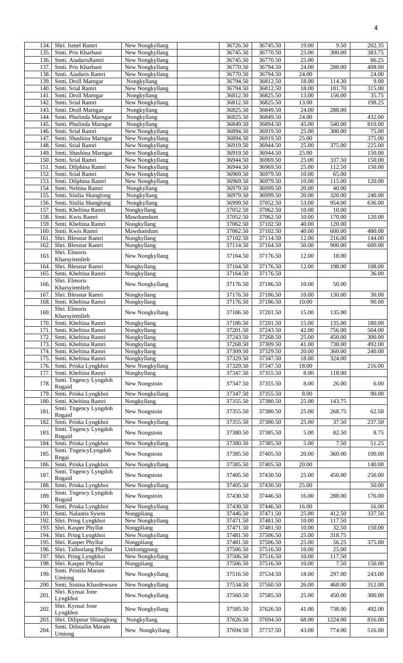| 134. | Shri. Ismel Ramri                             | New Nongkyllang | 36726.50             | 36745.50             | 19.00 | 9.50    | 202.35             |
|------|-----------------------------------------------|-----------------|----------------------|----------------------|-------|---------|--------------------|
| 135. | Smti. Pris Kharbani                           | New Nongkyllang | 36745.50             | 36770.50             | 25.00 | 300.00  | 383.75             |
| 136. | Smti. AiadarisRamri                           | New Nongkyllang | 36745.50             | 36770.50             | 25.00 |         | 66.25              |
| 137  | Smti. Pris Kharbani                           | New Nongkyllang | 36770.50             | 36794.50             | 24.00 | 288.00  | 408.00             |
| 138. | Smti. Aiadaris Ramri                          | New Nongkyllang | 36770.50             | 36794.50             | 24.00 |         | 24.00              |
| 139  | Smti. Droll Marngar                           | Nongkyllang     | 36794.50             | 36812.50             | 18.00 | 114.30  | 9.00               |
| 140. | Smti. Srial Ramri                             | New Nongkyllang | 36794.50             | 36812.50             | 18.00 | 101.70  | 315.00             |
| 141  | Smti. Droll Marngar                           | Nongkyllang     | 36812.50             | 36825.50             | 13.00 | 156.00  | 35.75              |
| 142  | Smti. Srial Ramri                             | New Nongkyllang | 36812.50             | 36825.50             | 13.00 |         | 198.25             |
| 143. | Smti. Droll Marngar                           | Nongkyllang     | 36825.50             | 36849.50             | 24.00 | 288.00  |                    |
| 144  | Smti. Phulinda Marngar                        | Nongkyllang     | 36825.50             | 36849.50             | 24.00 |         | 432.00             |
| 145. | Smti. Phulinda Marngar                        | Nongkyllang     | 36849.50             | 36894.50             | 45.00 | 540.00  | 810.00             |
| 146. | Smti. Srial Ramri                             | New Nongkyllang | 36894.50             | 36919.50             | 25.00 | 300.00  | 75.00              |
| 147  | Smti. Shashina Marngar                        | New Nongkyllang | 36894.50             | 36919.50             | 25.00 |         | 375.00             |
| 148. | Smti. Srial Ramri                             | New Nongkyllang | 36919.50             | 36944.50             | 25.00 | 375.00  | 225.00             |
| 149. | Smti. Shashina Marngar                        | New Nongkyllang | 36919.50             | 36944.50             | 25.00 |         | 150.00             |
| 150. | Smti. Srial Ramri                             | New Nongkyllang | 36944.50             | 36969.50             | 25.00 | 337.50  | 150.00             |
| 151  | Smti. Dilphina Ramri                          | New Nongkyllang | 36944.50             | 36969.50             | 25.00 | 112.50  | 150.00             |
| 152  | Smti. Srial Ramri                             | New Nongkyllang | 36969.50             | 36979.50             | 10.00 | 65.00   |                    |
| 153. | Smti. Dilphina Ramri                          | New Nongkyllang | 36969.50             | 36979.50             | 10.00 | 115.00  | 120.00             |
| 154. | Smti. Neltina Ramri                           | Nongkyllang     | 36979.50             | 36999.50             | 20.00 | 40.00   |                    |
| 155  | Smti. Sisilia Shanglong                       | Nongkyllang     | 36979.50             | 36999.50             | 20.00 | 320.00  | 240.00             |
| 156. | Smti. Sisilia Shanglong                       | Nongkyllang     | 36999.50             | 37052.50             | 53.00 | 954.00  | 636.00             |
| 157  | Smti. Kheltina Ramri                          | Nongkyllang     | 37052.50             | 37062.50             | 10.00 | 10.00   |                    |
| 158. | Smti. Kwis Ramri                              | Mawdumdum       | 37052.50             | 37062.50             | 10.00 | 170.00  | 120.00             |
| 159. | Smti. Kheltina Ramri                          | Nongkyllang     | 37062.50             | 37102.50             | 40.00 | 120.00  |                    |
| 160. | Smti. Kwis Ramri                              | Mawdumdum       | 37062.50             | 37102.50             | 40.00 | 600.00  | 480.00             |
| 161  | Shri. Blesstar Ramri                          | Nongkyllang     | 37102.50             | 37114.50             | 12.00 | 216.00  | 144.00             |
| 162. | Shri. Blesstar Ramri                          | Nongkyllang     | 37114.50             | 37164.50             | 50.00 | 900.00  | 600.00             |
| 163. | Shri. Elmoris                                 | New Nongkyllang | 37164.50             | 37176.50             | 12.00 | 18.00   |                    |
|      | Kharsyiemlieh                                 |                 |                      |                      |       | 198.00  |                    |
| 164  | Shri. Blesstar Ramri<br>Smti. Kheltina Ramri  | Nongkyllang     | 37164.50<br>37164.50 | 37176.50<br>37176.50 | 12.00 |         | 108.00             |
| 165. | Shri. Elmoris                                 | Nongkyllang     |                      |                      |       |         | 36.00              |
| 166. | Kharsyiemlieh                                 | New Nongkyllang | 37176.50             | 37186.50             | 10.00 | 50.00   |                    |
| 167  | Shri. Blesstar Ramri                          | Nongkyllang     | 37176.50             | 37186.50             | 10.00 | 130.00  | $\overline{30.00}$ |
| 168. | Smti. Kheltina Ramri                          | Nongkyllang     | 37176.50             | 37186.50             | 10.00 |         | 90.00              |
|      | Shri. Elmoris                                 |                 |                      |                      |       |         |                    |
| 169. | Kharsyiemlieh                                 | New Nongkyllang | 37186.50             | 37201.50             | 15.00 | 135.00  |                    |
| 170  | Smti. Kheltina Ramri                          | Nongkyllang     | 37186.50             | 37201.50             | 15.00 | 135.00  | 180.00             |
| 171. | Smti. Kheltina Ramri                          | Nongkyllang     | 37201.50             | 37243.50             | 42.00 | 756.00  | 504.00             |
| 172. | Smti. Kheltina Ramri                          | Nongkyllang     | 37243.50             | 37268.50             | 25.00 | 450.00  | 300.00             |
| 173. | Smti. Kheltina Ramri                          | Nongkyllang     | 37268.50             | 37309.50             | 41.00 | 738.00  | 492.00             |
| 174. | Smti. Kheltina Ramri                          | Nongkyllang     | 37309.50             | 37329.50             | 20.00 | 360.00  | 240.00             |
| 175. | Smti. Kheltina Ramri                          | Nongkyllang     | 37329.50             | 37347.50             | 18.00 | 324.00  |                    |
| 176. | Smti. Priska Lyngkhoi                         | New Nongkyllang | 37329.50             | 37347.50             | 18.00 |         | 216.00             |
| 177. | Smti. Kheltina Ramri                          | Nongkyllang     | 37347.50             | 37355.50             | 8.00  | 118.00  |                    |
| 178. | Smti. Tngency Lyngdoh                         | New Nongstoin   | 37347.50             | 37355.50             | 8.00  | 26.00   | 6.00               |
|      | Rngaid                                        |                 |                      |                      |       |         |                    |
| 179. | Smti. Priska Lyngkhoi                         | New Nongkyllang | 37347.50             | 37355.50             | 8.00  |         | $\frac{1}{90.00}$  |
| 180. | Smti. Kheltina Ramri                          | Nongkyllang     | 37355.50             | 37380.50             | 25.00 | 143.75  |                    |
| 181. | Smti. Tngency Lyngdoh                         | New Nongstoin   | 37355.50             | 37380.50             | 25.00 | 268.75  | 62.50              |
|      | Rngaid                                        |                 |                      |                      |       |         |                    |
| 182. | Smti. Priska Lyngkhoi                         | New Nongkyllang | 37355.50             | 37380.50             | 25.00 | 37.50   | 237.50             |
| 183. | Smti. Tngency Lyngdoh                         | New Nongstoin   | 37380.50             | 37385.50             | 5.00  | 82.50   | 8.75               |
|      | Rngaid                                        |                 |                      |                      |       |         |                    |
| 184. | Smti. Priska Lyngkhoi<br>Smti. TngencyLyngdoh | New Nongkyllang | 37380.50             | 37385.50             | 5.00  | 7.50    | 51.25              |
| 185. | Rngai                                         | New Nongstoin   | 37385.50             | 37405.50             | 20.00 | 360.00  | 100.00             |
| 186. | Smti. Priska Lyngkhoi                         | New Nongkyllang | 37385.50             | 37405.50             | 20.00 |         | 140.00             |
|      | Smti. Tngency Lyngdoh                         |                 |                      |                      |       |         |                    |
| 187. | Rngaid                                        | New Nongstoin   | 37405.50             | 37430.50             | 25.00 | 450.00  | 250.00             |
| 188. | Smti. Priska Lyngkhoi                         | New Nongkyllang | 37405.50             | 37430.50             | 25.00 |         | 50.00              |
|      | Smti. Tngency Lyngdoh                         |                 |                      |                      |       |         |                    |
| 189. | Rngaid                                        | New Nongstoin   | 37430.50             | 37446.50             | 16.00 | 288.00  | 176.00             |
| 190. | Smti. Priska Lyngkhoi                         | New Nongkyllang | 37430.50             | 37446.50             | 16.00 |         | 16.00              |
| 191. | Smti. Nalantis Syiem                          | Nongpliang      | 37446.50             | 37471.50             | 25.00 | 412.50  | 337.50             |
| 192. | Shri. Pring Lyngkhoi                          | New Nongkyllang | 37471.50             | 37481.50             | 10.00 | 117.50  |                    |
| 193. | Shri. Kasper Phyllut                          | Nongpliang      | 37471.50             | 37481.50             | 10.00 | 32.50   | 150.00             |
| 194. | Shri. Pring Lyngkhoi                          | New Nongkyllang | 37481.50             | 37506.50             | 25.00 | 318.75  |                    |
| 195. | Shri. Kasper Phyllut                          | Nongpliang      | 37481.50             | 37506.50             | 25.00 | 56.25   | 375.00             |
| 196. | Shri. Taiborlang Phyllut                      | Umlomgpung      | 37506.50             | 37516.50             | 10.00 | 25.00   |                    |
| 197. | Shri. Pring Lyngkhoi                          | New Nongkyllang | 37506.50             | 37516.50             | 10.00 | 117.50  |                    |
| 198. | Shri. Kasper Phyllut                          | Nongpliang      | 37506.50             | 37516.50             | 10.00 | 7.50    | 150.00             |
| 199. | Smti. Pristila Maram                          | New Nongkyllang | 37516.50             | 37534.50             | 18.00 | 297.00  | 243.00             |
|      | Umiong                                        |                 |                      |                      |       |         |                    |
| 200  | Smti. Sistina Khardewsaw                      | New Nongkyllang | 37534.50             | 37560.50             | 26.00 | 468.00  | 312.00             |
| 201. | Shri. Kynsai Jone                             | New Nongkyllang | 37560.50             | 37585.50             | 25.00 | 450.00  | 300.00             |
|      | Lyngkhoi                                      |                 |                      |                      |       |         |                    |
| 202. | Shri. Kynsai Jone<br>Lyngkhoi                 | New Nongkyllang | 37585.50             | 37626.50             | 41.00 | 738.00  | 492.00             |
| 203. | Shri. Dilipstar Shianglong                    | Nongkyllang     | 37626.50             | 37694.50             | 68.00 | 1224.00 | 816.00             |
|      | Smti. Difstailin Maram                        |                 |                      |                      |       |         |                    |
| 204. | Umiong                                        | New Nongkyllang | 37694.50             | 37737.50             | 43.00 | 774.00  | 516.00             |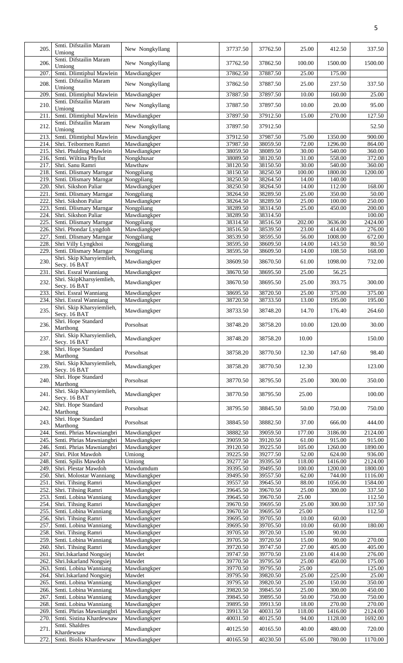| 205.             | Smti. Difstailin Maram                             | New Nongkyllang              | 37737.50             | 37762.50             | 25.00           | 412.50            | 337.50            |
|------------------|----------------------------------------------------|------------------------------|----------------------|----------------------|-----------------|-------------------|-------------------|
|                  | Umiong<br>Smti. Difstailin Maram                   |                              |                      |                      |                 |                   |                   |
| 206.             | Umiong                                             | New Nongkyllang              | 37762.50             | 37862.50             | 100.00          | 1500.00           | 1500.00           |
| 207              | Smti. Dlimtiphul Mawlein                           | Mawdiangkper                 | 37862.50             | 37887.50             | 25.00           | 175.00            |                   |
| 208.             | Smti. Difstailin Maram<br>Umiong                   | New Nongkyllang              | 37862.50             | 37887.50             | 25.00           | 237.50            | 337.50            |
| 209              | Smti. Dlimtiphul Mawlein                           | Mawdiangkper                 | 37887.50             | 37897.50             | 10.00           | 160.00            | 25.00             |
| 210              | Smti. Difstailin Maram                             | New Nongkyllang              | 37887.50             | 37897.50             | 10.00           | 20.00             | 95.00             |
|                  | Umiong                                             |                              |                      |                      |                 |                   |                   |
| 211              | Smti. Dlimtiphul Mawlein<br>Smti. Difstailin Maram | Mawdiangkper                 | 37897.50             | 37912.50             | 15.00           | 270.00            | 127.50            |
| 212.             | Umiong                                             | New Nongkyllang              | 37897.50             | 37912.50             |                 |                   | 52.50             |
| 213              | Smti. Dlimtiphul Mawlein                           | Mawdiangkper                 | 37912.50             | 37987.50             | 75.00           | 1350.00           | 900.00            |
| 214.             | Shri. Teibormen Ramri                              | Mawdiangkper                 | 37987.50             | 38059.50             | 72.00           | 1296.00           | 864.00            |
| 215.             | Shri. Phulding Mawlein                             | Mawdiangkper                 | 38059.50             | 38089.50             | 30.00           | 540.00            | 360.00            |
| 216.<br>217      | Smti. Wiltina Phyllut<br>Shri. Sanu Ramri          | Nongkhusar<br>Mawthaw        | 38089.50<br>38120.50 | 38120.50<br>38150.50 | 31.00<br>30.00  | 558.00<br>540.00  | 372.00<br>360.00  |
| 218.             | Smti. Dlismary Marngar                             | Nongpliang                   | 38150.50             | 38250.50             | 100.00          | 1800.00           | 1200.00           |
| 219.             | Smti. Dlismary Marngar                             | Nongpliang                   | 38250.50             | 38264.50             | 14.00           | 140.00            |                   |
| 220.             | Shri. Sikshon Paliar                               | Mawdiangkper                 | 38250.50             | 38264.50             | 14.00           | 112.00            | 168.00            |
| $\overline{221}$ | Smti. Dlismary Marngar                             | Nongpliang                   | 38264.50             | 38289.50             | 25.00           | 350.00            | 50.00             |
| $\overline{222}$ | Shri. Sikshon Paliar                               | Mawdiangkper                 | 38264.50             | 38289.50             | 25.00           | 100.00            | 250.00            |
| 223<br>224       | Smti. Dlismary Marngar<br>Shri. Sikshon Paliar     | Nongpliang<br>Mawdiangkper   | 38289.50<br>38289.50 | 38314.50<br>38314.50 | 25.00           | 450.00            | 200.00<br>100.00  |
| 225              | Smti. Dlismary Marngar                             | Nongpliang                   | 38314.50             | 38516.50             | 202.00          | 3636.00           | 2424.00           |
| 226.             | Shri. Phondar Lyngdoh                              | Mawdiangkper                 | 38516.50             | 38539.50             | 23.00           | 414.00            | 276.00            |
| 227              | Smti. Dlismary Marngar                             | Nongpliang                   | 38539.50             | 38595.50             | 56.00           | 1008.00           | 672.00            |
| 228.             | Shri Villy Lyngkhoi                                | Nongpliang                   | 38595.50             | 38609.50             | 14.00           | 143.50            | 80.50             |
| 229              | Smti. Dlismary Marngar                             | Nongpliang                   | 38595.50             | 38609.50             | 14.00           | 108.50            | 168.00            |
| 230.             | Shri. Skip Kharsyiemlieh,<br>Secy. 16 BAT          | Mawdiangkper                 | 38609.50             | 38670.50             | 61.00           | 1098.00           | 732.00            |
| $\overline{231}$ | Shri. Essral Wanniang                              | Mawdiangkper                 | 38670.50             | 38695.50             | 25.00           | 56.25             |                   |
|                  | Shri. SkipKharsyiemlieh,                           |                              |                      |                      |                 |                   |                   |
| 232              | Secy. 16 BAT                                       | Mawdiangkper                 | 38670.50             | 38695.50             | 25.00           | 393.75            | 300.00            |
| 233              | Shri. Essral Wanniang                              | Mawdiangkper                 | 38695.50             | 38720.50             | 25.00           | 375.00            | 375.00            |
| 234.             | Shri. Essral Wanniang                              | Mawdiangkper                 | 38720.50             | 38733.50             | 13.00           | 195.00            | 195.00            |
| 235.             | Shri. Skip Kharsyiemlieh,<br>Secy. 16 BAT          | Mawdiangkper                 | 38733.50             | 38748.20             | 14.70           | 176.40            | 264.60            |
|                  | Shri. Hope Standard                                |                              |                      |                      |                 |                   |                   |
| 236.             | Marthong                                           | Porsohsat                    | 38748.20             | 38758.20             | 10.00           | 120.00            | 30.00             |
| 237.             | Shri. Skip Kharsyiemlieh,                          | Mawdiangkper                 | 38748.20             | 38758.20             | 10.00           |                   | 150.00            |
|                  | Secy. 16 BAT                                       |                              |                      |                      |                 |                   |                   |
| 238.             | Shri. Hope Standard<br>Marthong                    | Porsohsat                    | 38758.20             | 38770.50             | 12.30           | 147.60            | 98.40             |
|                  | Shri. Skip Kharsyiemlieh,                          |                              |                      |                      |                 |                   |                   |
| 239.             | Secy. 16 BAT                                       | Mawdiangkper                 | 38758.20             | 38770.50             | 12.30           |                   | 123.00            |
| 240.             | Shri. Hope Standard                                | Porsohsat                    | 38770.50             | 38795.50             | 25.00           | 300.00            | 350.00            |
|                  | Marthong<br>Shri. Skip Kharsyiemlieh,              |                              |                      |                      |                 |                   |                   |
| 241.             | Secy. 16 BAT                                       | Mawdiangkper                 | 38770.50             | 38795.50             | 25.00           |                   | 100.00            |
|                  | Shri. Hope Standard                                |                              |                      |                      |                 |                   |                   |
| 242.             | Marthong                                           | Porsohsat                    | 38795.50             | 38845.50             | 50.00           | 750.00            | 750.00            |
| 243.             | Shri. Hope Standard                                | Porsohsat                    | 38845.50             | 38882.50             | 37.00           | 666.00            | 444.00            |
|                  | Marthong<br>Smti. Phrias Mawniangbri               |                              |                      |                      |                 |                   |                   |
| 244<br>245.      | Smti. Phrias Mawniangbri                           | Mawdiangkper<br>Mawdiangkper | 38882.50<br>39059.50 | 39059.50<br>39120.50 | 177.00<br>61.00 | 3186.00<br>915.00 | 2124.00<br>915.00 |
| 246.             | Smti. Phrias Mawniangbri                           | Mawdiangkper                 | 39120.50             | 39225.50             | 105.00          | 1260.00           | 1890.00           |
| 247.             | Shri. Pilot Mawdoh                                 | Umiong                       | 39225.50             | 39277.50             | 52.00           | 624.00            | 936.00            |
| 248.             | Smti. Spilis Mawdoh                                | Umiong                       | 39277.50             | 39395.50             | 118.00          | 1416.00           | 2124.00           |
| 249.             | Shri. Plestar Mawdoh                               | Mawdumdum                    | 39395.50             | 39495.50             | 100.00          | 1200.00           | 1800.00           |
| 250.             | Shri. Molostar Wanniang                            | Mawdiangkper                 | 39495.50             | 39557.50             | 62.00           | 744.00            | 1116.00           |
| 251.             | Shri. Tihsing Ramri                                | Mawdiangkper                 | 39557.50             | 39645.50             | 88.00           | 1056.00           | 1584.00           |
| 252<br>253.      | Shri. Tihsing Ramri<br>Smti. Lobina Wanniang       | Mawdiangkper                 | 39645.50<br>39645.50 | 39670.50             | 25.00<br>25.00  | 300.00            | 337.50<br>112.50  |
| 254              | Shri. Tihsing Ramri                                | Mawdiangkper<br>Mawdiangkper | 39670.50             | 39670.50<br>39695.50 | 25.00           | 300.00            | 337.50            |
| 255.             | Smti. Lobina Wanniang                              | Mawdiangkper                 | 39670.50             | 39695.50             | 25.00           |                   | 112.50            |
| 256.             | Shri. Tihsing Ramri                                | Mawdiangkper                 | 39695.50             | 39705.50             | 10.00           | 60.00             |                   |
| 257              | Smti. Lobina Wanniang                              | Mawdiangkper                 | 39695.50             | 39705.50             | 10.00           | 60.00             | 180.00            |
| 258.             | Shri. Tihsing Ramri                                | Mawdiangkper                 | 39705.50             | 39720.50             | 15.00           | 90.00             |                   |
| 259.<br>260.     | Smti. Lobina Wanniang<br>Shri. Tihsing Ramri       | Mawdiangkper                 | 39705.50<br>39720.50 | 39720.50<br>39747.50 | 15.00<br>27.00  | 90.00<br>405.00   | 270.00<br>405.00  |
| 261              | Shri.Iskarland Nongsiej                            | Mawdiangkper<br>Mawdet       | 39747.50             | 39770.50             | 23.00           | 414.00            | 276.00            |
| 262              | Shri.Iskarland Nongsiej                            | Mawdet                       | 39770.50             | 39795.50             | 25.00           | 450.00            | 175.00            |
| 263.             | Smti. Lobina Wanniang                              | Mawdiangkper                 | 39770.50             | 39795.50             | 25.00           |                   | 125.00            |
| 264              | Shri.Iskarland Nongsiej                            | Mawdet                       | 39795.50             | 39820.50             | 25.00           | 225.00            | 25.00             |
| 265              | Smti. Lobina Wanniang                              | Mawdiangkper                 | 39795.50             | 39820.50             | 25.00           | 150.00            | 350.00            |
| 266.             | Smti. Lobina Wanniang                              | Mawdiangkper                 | 39820.50             | 39845.50             | 25.00           | 300.00            | 450.00            |
| 267.<br>268.     | Smti. Lobina Wanniang<br>Smti. Lobina Wanniang     | Mawdiangkper<br>Mawdiangkper | 39845.50<br>39895.50 | 39895.50<br>39913.50 | 50.00<br>18.00  | 750.00<br>270.00  | 750.00<br>270.00  |
| 269.             | Smti. Phrias Mawniangbri                           | Mawdiangkper                 | 39913.50             | 40031.50             | 118.00          | 1416.00           | 2124.00           |
| 270.             | Smti. Sistina Khardewsaw                           | Mawdiangkper                 | 40031.50             | 40125.50             | 94.00           | 1128.00           | 1692.00           |
| 271              | Smti. Shaldres                                     | Mawdiangkper                 | 40125.50             | 40165.50             | 40.00           | 480.00            | 720.00            |
|                  | Khardewsaw                                         |                              |                      |                      |                 |                   |                   |
| 272.             | Smti. Biolis Khardewsaw                            | Mawdiangkper                 | 40165.50             | 40230.50             | 65.00           | 780.00            | 1170.00           |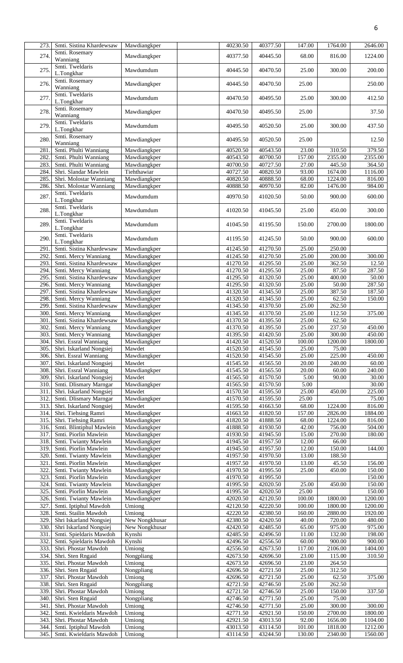| 273. | Smti. Sistina Khardewsaw     | Mawdiangkper               | 40230.50 | 40377.50 | 147.00             | 1764.00             | 2646.00 |
|------|------------------------------|----------------------------|----------|----------|--------------------|---------------------|---------|
| 274. | Smti. Rosemary               | Mawdiangkper               | 40377.50 | 40445.50 | 68.00              | 816.00              | 1224.00 |
|      | Wanniang                     |                            |          |          |                    |                     |         |
|      | Smti. Tweldaris              |                            |          |          |                    |                     |         |
| 275. | L.Tongkhar                   | Mawdumdum                  | 40445.50 | 40470.50 | 25.00              | 300.00              | 200.00  |
|      | Smti. Rosemary               |                            |          |          |                    |                     |         |
| 276. | Wanniang                     | Mawdiangkper               | 40445.50 | 40470.50 | 25.00              |                     | 250.00  |
|      | Smti. Tweldaris              |                            |          |          |                    |                     |         |
| 277. | L.Tongkhar                   | Mawdumdum                  | 40470.50 | 40495.50 | 25.00              | 300.00              | 412.50  |
|      |                              |                            |          |          |                    |                     |         |
| 278. | Smti. Rosemary               | Mawdiangkper               | 40470.50 | 40495.50 | 25.00              |                     | 37.50   |
|      | Wanniang                     |                            |          |          |                    |                     |         |
| 279. | Smti. Tweldaris              | Mawdumdum                  | 40495.50 | 40520.50 | 25.00              | 300.00              | 437.50  |
|      | L.Tongkhar                   |                            |          |          |                    |                     |         |
| 280. | Smti. Rosemary               | Mawdiangkper               | 40495.50 | 40520.50 | 25.00              |                     | 12.50   |
|      | Wanniang                     |                            |          |          |                    |                     |         |
| 281  | Smti. Phulti Wanniang        | Mawdiangkper               | 40520.50 | 40543.50 | 23.00              | 310.50              | 379.50  |
| 282  | Smti. Phulti Wanniang        | Mawdiangkper               | 40543.50 | 40700.50 | 157.00             | 2355.00             | 2355.00 |
| 283. | Smti. Phulti Wanniang        | Mawdiangkper               | 40700.50 | 40727.50 | 27.00              | 445.50              | 364.50  |
| 284  | Shri. Slandar Mawlein        | Tiehthawiar                | 40727.50 | 40820.50 | 93.00              | 1674.00             | 1116.00 |
|      |                              |                            |          |          |                    |                     |         |
| 285. | Shri. Molostar Wanniang      | Mawdiangkper               | 40820.50 | 40888.50 | 68.00              | 1224.00             | 816.00  |
| 286. | Shri. Molostar Wanniang      | Mawdiangkper               | 40888.50 | 40970.50 | 82.00              | 1476.00             | 984.00  |
| 287. | Smti. Tweldaris              |                            |          |          |                    |                     |         |
|      | L.Tongkhar                   | Mawdumdum                  | 40970.50 | 41020.50 | 50.00              | 900.00              | 600.00  |
|      | Smti. Tweldaris              |                            |          |          |                    |                     |         |
| 288. | L.Tongkhar                   | Mawdumdum                  | 41020.50 | 41045.50 | 25.00              | 450.00              | 300.00  |
|      |                              |                            |          |          |                    |                     |         |
| 289. | Smti. Tweldaris              | Mawdumdum                  | 41045.50 | 41195.50 | 150.00             | 2700.00             | 1800.00 |
|      | L.Tongkhar                   |                            |          |          |                    |                     |         |
|      | Smti. Tweldaris              |                            |          |          |                    |                     |         |
| 290. | L.Tongkhar                   | Mawdumdum                  | 41195.50 | 41245.50 | 50.00              | 900.00              | 600.00  |
| 291  | Smti. Sistina Khardewsaw     | Mawdiangkper               | 41245.50 | 41270.50 | 25.00              | 250.00              |         |
|      |                              |                            |          |          |                    |                     |         |
| 292  | Smti. Mercy Wanniang         | Mawdiangkper               | 41245.50 | 41270.50 | 25.00              | 200.00              | 300.00  |
| 293. | Smti. Sistina Khardewsaw     | Mawdiangkper               | 41270.50 | 41295.50 | 25.00              | 362.50              | 12.50   |
| 294  | Smti. Mercy Wanniang         | Mawdiangkper               | 41270.50 | 41295.50 | 25.00              | 87.50               | 287.50  |
| 295. | Smti. Sistina Khardewsaw     | Mawdiangkper               | 41295.50 | 41320.50 | 25.00              | 400.00              | 50.00   |
|      |                              |                            |          |          |                    |                     |         |
| 296. | Smti. Mercy Wanniang         | Mawdiangkper               | 41295.50 | 41320.50 | 25.00              | 50.00               | 287.50  |
| 297  | Smti. Sistina Khardewsaw     | Mawdiangkper               | 41320.50 | 41345.50 | 25.00              | 387.50              | 187.50  |
| 298. | Smti. Mercy Wanniang         | Mawdiangkper               | 41320.50 | 41345.50 | 25.00              | 62.50               | 150.00  |
| 299. | Smti. Sistina Khardewsaw     | Mawdiangkper               | 41345.50 | 41370.50 | 25.00              | $\overline{262.50}$ |         |
|      |                              |                            |          |          |                    |                     |         |
| 300. | Smti. Mercy Wanniang         | Mawdiangkper               | 41345.50 | 41370.50 | 25.00              | 112.50              | 375.00  |
| 301  | Smti. Sistina Khardewsaw     | Mawdiangkper               | 41370.50 | 41395.50 | 25.00              | 62.50               |         |
| 302. | Smti. Mercy Wanniang         | Mawdiangkper               | 41370.50 | 41395.50 | 25.00              | 237.50              | 450.00  |
|      | 303. Smti. Mercy Wanniang    | Mawdiangkper               | 41395.50 | 41420.50 | 25.00              | 300.00              | 450.00  |
|      |                              |                            |          |          |                    |                     |         |
| 304. | Shri. Essral Wanniang        | Mawdiangkper               | 41420.50 | 41520.50 | 100.00             | 1200.00             | 1800.00 |
| 305. | Shri. Iskarland Nongsiej     | Mawdet                     | 41520.50 | 41545.50 | 25.00              | 75.00               |         |
| 306. | Shri. Essral Wanniang        | Mawdiangkper               | 41520.50 | 41545.50 | 25.00              | 225.00              | 450.00  |
| 307. | Shri. Iskarland Nongsiej     | Mawdet                     | 41545.50 | 41565.50 | 20.00              | 240.00              | 60.00   |
| 308. | Shri. Essral Wanniang        | Mawdiangkper               | 41545.50 | 41565.50 | 20.00              | 60.00               | 240.00  |
|      |                              |                            |          |          |                    |                     |         |
| 309. | Shri. Iskarland Nongsiej     | Mawdet                     | 41565.50 | 41570.50 | 5.00               | 90.00               | 30.00   |
| 310. | Smti. Dlismary Marngar       | Mawdiangkper               | 41565.50 | 41570.50 | 5.00               |                     | 30.00   |
| 311. | Shri. Iskarland Nongsiej     | Mawdet                     | 41570.50 | 41595.50 | 25.00              | 450.00              | 225.00  |
| 312. | Smti. Dlismary Marngar       | Mawdiangkper               | 41570.50 | 41595.50 | 25.00              |                     | 75.00   |
| 313. | Shri. Iskarland Nongsiej     | Mawdet                     | 41595.50 | 41663.50 | 68.00              | 1224.00             | 816.00  |
|      |                              |                            |          | 41820.50 |                    |                     |         |
| 314. | Shri. Tiehsing Ramri         | Mawdiangkper               | 41663.50 |          | 157.00             | 2826.00             | 1884.00 |
| 315. | Shri. Tiehsing Ramri         | Mawdiangkper               | 41820.50 | 41888.50 | 68.00              | 1224.00             | 816.00  |
| 316. | Smti. Blintiphul Mawlein     | Mawdiangkper               | 41888.50 | 41930.50 | 42.00              | 756.00              | 504.00  |
| 317. | Smti. Piorlin Mawlein        | Mawdiangkper               | 41930.50 | 41945.50 | 15.00              | 270.00              | 180.00  |
| 318. | Smti. Twianty Mawlein        | Mawdiangkper               | 41945.50 | 41957.50 | 12.00              | 66.00               |         |
|      |                              |                            |          |          |                    |                     |         |
| 319. | Smti. Piorlin Mawlein        | Mawdiangkper               | 41945.50 | 41957.50 | 12.00              | 150.00              | 144.00  |
| 320. | Smti. Twianty Mawlein        | Mawdiangkper               | 41957.50 | 41970.50 | 13.00              | 188.50              |         |
| 321. | Smti. Piorlin Mawlein        | Mawdiangkper               | 41957.50 | 41970.50 | 13.00              | 45.50               | 156.00  |
| 322. | Smti. Twianty Mawlein        | Mawdiangkper               | 41970.50 | 41995.50 | 25.00              | 450.00              | 150.00  |
| 323. | Smti. Piorlin Mawlein        | Mawdiangkper               | 41970.50 | 41995.50 |                    |                     | 150.00  |
|      |                              |                            |          |          |                    |                     |         |
| 324. | Smti. Twianty Mawlein        | Mawdiangkper               | 41995.50 | 42020.50 | 25.00              | 450.00              | 150.00  |
| 325. | Smti. Piorlin Mawlein        | Mawdiangkper               | 41995.50 | 42020.50 | $\overline{2}5.00$ |                     | 150.00  |
| 326. | Smti. Twianty Mawlein        | Mawdiangkper               | 42020.50 | 42120.50 | 100.00             | 1800.00             | 1200.00 |
| 327. | Smti. Iptiphul Mawdoh        | $\overline{\text{Uniong}}$ | 42120.50 | 42220.50 | 100.00             | 1800.00             | 1200.00 |
|      |                              |                            |          |          |                    |                     |         |
| 328. | Smti. Stailin Mawdoh         | Umiong                     | 42220.50 | 42380.50 | 160.00             | 2880.00             | 1920.00 |
| 329. | Shri Iskarland Nongsiej      | New Nongkhusar             | 42380.50 | 42420.50 | 40.00              | 720.00              | 480.00  |
| 330. | Shri Iskarland Nongsiej      | New Nongkhusar             | 42420.50 | 42485.50 | 65.00              | 975.00              | 975.00  |
| 331  | Smti. Spieldaris Mawdoh      | Kynshi                     | 42485.50 | 42496.50 | 11.00              | 132.00              | 198.00  |
| 332. | Smti. Spieldaris Mawdoh      | Kynshi                     | 42496.50 | 42556.50 | 60.00              | 900.00              | 900.00  |
|      |                              |                            |          |          |                    |                     |         |
| 333. | Shri. Phostar Mawdoh         | Umiong                     | 42556.50 | 42673.50 | 117.00             | 2106.00             | 1404.00 |
| 334. | Shri. Sten Rngaid            | Nongpliang                 | 42673.50 | 42696.50 | 23.00              | 115.00              | 310.50  |
| 335. | Shri. Phostar Mawdoh         | Umiong                     | 42673.50 | 42696.50 | 23.00              | 264.50              |         |
| 336. | Shri. Sten Rngaid            | Nongpliang                 | 42696.50 | 42721.50 | 25.00              | 312.50              |         |
| 337. | Shri. Phostar Mawdoh         | Umiong                     |          | 42721.50 |                    |                     | 375.00  |
|      |                              |                            | 42696.50 |          | 25.00              | 62.50               |         |
| 338. | Shri. Sten Rngaid            | Nongpliang                 | 42721.50 | 42746.50 | 25.00              | 262.50              |         |
| 339. | Shri. Phostar Mawdoh         | Umiong                     | 42721.50 | 42746.50 | 25.00              | 150.00              | 337.50  |
| 340. | Shri. Sten Rngaid            | Nongpliang                 | 42746.50 | 42771.50 | 25.00              | 75.00               |         |
| 341. | Shri. Phostar Mawdoh         | Umiong                     | 42746.50 | 42771.50 | 25.00              | 300.00              | 300.00  |
|      |                              |                            |          |          |                    |                     |         |
| 342. | Smti. Kwieldaris Mawdoh      | Umiong                     | 42771.50 | 42921.50 | 150.00             | 2700.00             | 1800.00 |
| 343. | Shri. Phostar Mawdoh         | Umiong                     | 42921.50 | 43013.50 | 92.00              | 1656.00             | 1104.00 |
| 344. | Smti. Iptiphul Mawdoh        | Umiong                     | 43013.50 | 43114.50 | 101.00             | 1818.00             | 1212.00 |
|      | 345. Smti. Kwieldaris Mawdoh | Umiong                     | 43114.50 | 43244.50 | 130.00             | 2340.00             | 1560.00 |
|      |                              |                            |          |          |                    |                     |         |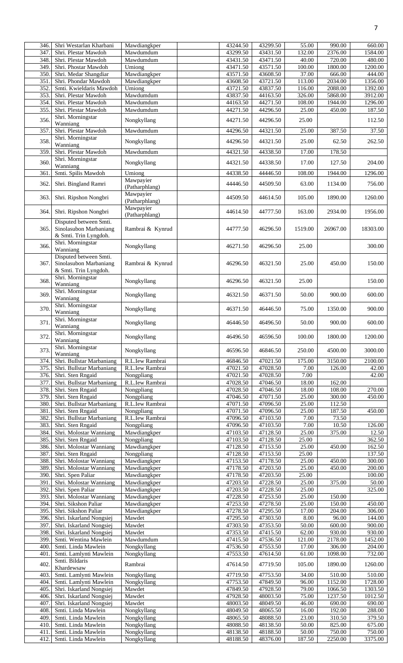| 346.             | Shri Westarlan Kharbani   | Mawdiangkper     | 43244.50 | 43299.50 | 55.00   | 990.00   | 660.00             |
|------------------|---------------------------|------------------|----------|----------|---------|----------|--------------------|
| 347              | Shri. Plestar Mawdoh      | Mawdumdum        | 43299.50 | 43431.50 | 132.00  | 2376.00  | 1584.00            |
|                  |                           |                  | 43431.50 | 43471.50 |         | 720.00   | 480.00             |
| 348.             | Shri. Plestar Mawdoh      | Mawdumdum        |          |          | 40.00   |          |                    |
| 349              | Shri. Phostar Mawdoh      | Umiong           | 43471.50 | 43571.50 | 100.00  | 1800.00  | 1200.00            |
| 350              | Shri. Medar Shangdiar     | Mawdiangkper     | 43571.50 | 43608.50 | 37.00   | 666.00   | 444.00             |
|                  |                           |                  |          |          |         |          |                    |
| 351              | Shri. Phondar Mawdoh      | Mawdiangkper     | 43608.50 | 43721.50 | 113.00  | 2034.00  | 1356.00            |
| 352              | Smti. Kwieldaris Mawdoh   | Umiong           | 43721.50 | 43837.50 | 116.00  | 2088.00  | 1392.00            |
| 353.             | Shri. Plestar Mawdoh      | Mawdumdum        | 43837.50 | 44163.50 | 326.00  | 5868.00  | 3912.00            |
|                  |                           |                  |          |          |         |          |                    |
| 354.             | Shri. Plestar Mawdoh      | Mawdumdum        | 44163.50 | 44271.50 | 108.00  | 1944.00  | 1296.00            |
| 355.             | Shri. Plestar Mawdoh      | Mawdumdum        | 44271.50 | 44296.50 | 25.00   | 450.00   | 187.50             |
|                  |                           |                  |          |          |         |          |                    |
| 356.             | Shri. Morningstar         | Nongkyllang      | 44271.50 | 44296.50 | 25.00   |          | 112.50             |
|                  | Wanniang                  |                  |          |          |         |          |                    |
| 357              | Shri. Plestar Mawdoh      | Mawdumdum        | 44296.50 | 44321.50 | 25.00   | 387.50   | 37.50              |
|                  |                           |                  |          |          |         |          |                    |
|                  | Shri. Morningstar         |                  |          |          |         |          |                    |
| 358.             | Wanniang                  | Nongkyllang      | 44296.50 | 44321.50 | 25.00   | 62.50    | 262.50             |
|                  |                           |                  |          |          |         |          |                    |
| 359              | Shri. Plestar Mawdoh      | Mawdumdum        | 44321.50 | 44338.50 | 17.00   | 178.50   |                    |
|                  | Shri. Morningstar         |                  |          |          |         |          |                    |
| 360.             | Wanniang                  | Nongkyllang      | 44321.50 | 44338.50 | 17.00   | 127.50   | 204.00             |
|                  |                           |                  |          |          |         |          |                    |
| 361              | Smti. Spilis Mawdoh       | Umiong           | 44338.50 | 44446.50 | 108.00  | 1944.00  | 1296.00            |
|                  |                           | Mawpayier        |          |          |         |          |                    |
| 362              | Shri. Bingland Ramri      |                  | 44446.50 | 44509.50 | 63.00   | 1134.00  | 756.00             |
|                  |                           | (Patharphlang)   |          |          |         |          |                    |
|                  |                           | Mawpayier        |          |          |         |          |                    |
| 363              | Shri. Ripshon Nongbri     | (Patharphlang)   | 44509.50 | 44614.50 | 105.00  | 1890.00  | 1260.00            |
|                  |                           |                  |          |          |         |          |                    |
| 364.             |                           | Mawpayier        | 44614.50 | 44777.50 |         | 2934.00  | 1956.00            |
|                  | Shri. Ripshon Nongbri     | (Patharphlang)   |          |          | 163.00  |          |                    |
|                  |                           |                  |          |          |         |          |                    |
|                  | Disputed between Smti.    |                  |          |          |         |          |                    |
| 365.             | Sinolasubon Marbaniang    | Rambrai & Kynrud | 44777.50 | 46296.50 | 1519.00 | 26967.00 | 18303.00           |
|                  | & Smti. Trin Lyngdoh.     |                  |          |          |         |          |                    |
|                  |                           |                  |          |          |         |          |                    |
|                  | Shri. Morningstar         |                  |          |          |         |          |                    |
| 366.             | Wanniang                  | Nongkyllang      | 46271.50 | 46296.50 | 25.00   |          | 300.00             |
|                  |                           |                  |          |          |         |          |                    |
|                  | Disputed between Smti.    |                  |          |          |         |          |                    |
| 367.             | Sinolasubon Marbaniang    | Rambrai & Kynrud | 46296.50 | 46321.50 | 25.00   | 450.00   | 150.00             |
|                  | & Smti. Trin Lyngdoh.     |                  |          |          |         |          |                    |
|                  |                           |                  |          |          |         |          |                    |
| 368.             | Shri. Morningstar         | Nongkyllang      | 46296.50 | 46321.50 | 25.00   |          | 150.00             |
|                  | Wanniang                  |                  |          |          |         |          |                    |
|                  |                           |                  |          |          |         |          |                    |
| 369              | Shri. Morningstar         | Nongkyllang      | 46321.50 | 46371.50 | 50.00   | 900.00   | 600.00             |
|                  | Wanniang                  |                  |          |          |         |          |                    |
|                  | Shri. Morningstar         |                  |          |          |         |          |                    |
| 370.             |                           | Nongkyllang      | 46371.50 | 46446.50 | 75.00   | 1350.00  | 900.00             |
|                  | Wanniang                  |                  |          |          |         |          |                    |
|                  | Shri. Morningstar         |                  |          |          |         |          |                    |
| 371.             |                           | Nongkyllang      | 46446.50 | 46496.50 | 50.00   | 900.00   | 600.00             |
|                  | Wanniang                  |                  |          |          |         |          |                    |
|                  | Shri. Morningstar         |                  |          |          |         |          |                    |
| 372.             | Wanniang                  | Nongkyllang      | 46496.50 | 46596.50 | 100.00  | 1800.00  | 1200.00            |
|                  |                           |                  |          |          |         |          |                    |
| 373.             | Shri. Morningstar         | Nongkyllang      | 46596.50 | 46846.50 | 250.00  | 4500.00  | 3000.00            |
|                  | Wanniang                  |                  |          |          |         |          |                    |
|                  |                           |                  |          |          |         | 3150.00  | 2100.00            |
| 374.             | Shri. Bullstar Marbaniang | R.L.Iew Rambrai  | 46846.50 | 47021.50 | 175.00  |          |                    |
| $\overline{375}$ | Shri. Bullstar Marbaniang | R.L.Iew Rambrai  | 47021.50 | 47028.50 | 7.00    | 126.00   | 42.00              |
| 376.             | Shri. Sten Rngaid         | Nongpliang       | 47021.50 | 47028.50 | 7.00    |          | 42.00              |
|                  |                           |                  |          |          |         |          |                    |
| 377.             | Shri. Bullstar Marbaniang | R.L.Iew Rambrai  | 47028.50 | 47046.50 | 18.00   | 162.00   |                    |
| 378.             | Shri. Sten Rngaid         | Nongpliang       | 47028.50 | 47046.50 | 18.00   | 108.00   | 270.00             |
|                  |                           |                  |          |          |         |          |                    |
| 379.             | Shri. Sten Rngaid         | Nongpliang       | 47046.50 | 47071.50 | 25.00   | 300.00   | 450.00             |
| 380.             | Shri. Bullstar Marbaniang | R.L.Iew Rambrai  | 47071.50 | 47096.50 | 25.00   | 112.50   |                    |
| 381              | Shri. Sten Rngaid         | Nongpliang       | 47071.50 | 47096.50 | 25.00   | 187.50   | 450.00             |
|                  |                           |                  |          |          |         |          |                    |
| 382.             | Shri. Bullstar Marbaniang | R.L.Iew Rambrai  | 47096.50 | 47103.50 | 7.00    | 73.50    |                    |
| 383.             | Shri. Sten Rngaid         | Nongpliang       | 47096.50 | 47103.50 | 7.00    | 10.50    | 126.00             |
|                  |                           |                  |          |          |         |          |                    |
| 384.             | Shri. Molostar Wanniang   | Mawdiangkper     | 47103.50 | 47128.50 | 25.00   | 375.00   | 12.50              |
| 385.             | Shri. Sten Rngaid         | Nongpliang       | 47103.50 | 47128.50 | 25.00   |          | 362.50             |
| 386.             | Shri. Molostar Wanniang   | Mawdiangkper     | 47128.50 | 47153.50 | 25.00   | 450.00   | 162.50             |
|                  |                           |                  |          |          |         |          |                    |
| 387.             | Shri. Sten Rngaid         | Nongpliang       | 47128.50 | 47153.50 | 25.00   |          | 137.50             |
| 388.             | Shri. Molostar Wanniang   | Mawdiangkper     | 47153.50 | 47178.50 | 25.00   | 450.00   | 300.00             |
|                  |                           |                  |          |          |         |          |                    |
| 389              | Shri. Molostar Wanniang   | Mawdiangkper     | 47178.50 | 47203.50 | 25.00   | 450.00   | 200.00             |
| 390.             | Shri. Spen Paliar         | Mawdiangkper     | 47178.50 | 47203.50 | 25.00   |          | 100.00             |
| 391              | Shri. Molostar Wanniang   | Mawdiangkper     | 47203.50 | 47228.50 | 25.00   | 375.00   | $\overline{50.00}$ |
|                  |                           |                  |          |          |         |          |                    |
| 392              | Shri. Spen Paliar         | Mawdiangkper     | 47203.50 | 47228.50 | 25.00   |          | 325.00             |
| 393              | Shri. Molostar Wanniang   | Mawdiangkper     | 47228.50 | 47253.50 | 25.00   | 150.00   |                    |
|                  |                           |                  |          |          |         |          |                    |
| 394              | Shri. Sikshon Paliar      | Mawdiangkper     | 47253.50 | 47278.50 | 25.00   | 150.00   | 450.00             |
| 395              | Shri. Sikshon Paliar      | Mawdiangkper     | 47278.50 | 47295.50 | 17.00   | 204.00   | 306.00             |
| 396.             | Shri. Iskarland Nongsiej  | Mawdet           | 47295.50 | 47303.50 | 8.00    | 96.00    | 144.00             |
|                  |                           |                  |          |          |         |          |                    |
| 397              | Shri. Iskarland Nongsiej  | Mawdet           | 47303.50 | 47353.50 | 50.00   | 600.00   | 900.00             |
| 398.             | Shri. Iskarland Nongsiej  | Mawdet           | 47353.50 | 47415.50 | 62.00   | 930.00   | 930.00             |
|                  |                           |                  |          |          |         |          |                    |
| 399              | Smti. Wentina Mawlein     | Mawdumdum        | 47415.50 | 47536.50 | 121.00  | 2178.00  | 1452.00            |
| 400.             | Smti. Linda Mawlein       | Nongkyllang      | 47536.50 | 47553.50 | 17.00   | 306.00   | 204.00             |
|                  |                           |                  |          |          |         |          |                    |
| 401              | Smti. Lamlynti Mawlein    | Nongkyllang      | 47553.50 | 47614.50 | 61.00   | 1098.00  | 732.00             |
|                  | Smti. Bildaris            |                  |          |          |         |          |                    |
| 402              | Khardewsaw                | Rambrai          | 47614.50 | 47719.50 | 105.00  | 1890.00  | 1260.00            |
|                  |                           |                  |          |          |         |          |                    |
| 403              | Smti. Lamlynti Mawlein    | Nongkyllang      | 47719.50 | 47753.50 | 34.00   | 510.00   | 510.00             |
| 404.             | Smti. Lamlynti Mawlein    | Nongkyllang      | 47753.50 | 47849.50 | 96.00   | 1152.00  | 1728.00            |
| 405              | Shri. Iskarland Nongsiej  |                  | 47849.50 | 47928.50 | 79.00   | 1066.50  | 1303.50            |
|                  |                           | Mawdet           |          |          |         |          |                    |
| 406.             | Shri. Iskarland Nongsiej  | Mawdet           | 47928.50 | 48003.50 | 75.00   | 1237.50  | 1012.50            |
| 407              | Shri. Iskarland Nongsiej  | Mawdet           | 48003.50 | 48049.50 | 46.00   | 690.00   | 690.00             |
|                  |                           |                  |          |          |         |          |                    |
|                  |                           | Nongkyllang      | 48049.50 | 48065.50 | 16.00   | 192.00   | 288.00             |
| 408              | Smti. Linda Mawlein       |                  |          |          |         |          |                    |
|                  |                           |                  |          |          |         |          |                    |
| 409              | Smti. Linda Mawlein       | Nongkyllang      | 48065.50 | 48088.50 | 23.00   | 310.50   | 379.50             |
| 410.             | Smti. Linda Mawlein       | Nongkyllang      | 48088.50 | 48138.50 | 50.00   | 825.00   | 675.00             |
| 411.             | Smti. Linda Mawlein       | Nongkyllang      | 48138.50 | 48188.50 | 50.00   | 750.00   | 750.00             |
| 412.             | Smti. Linda Mawlein       | Nongkyllang      | 48188.50 | 48376.00 | 187.50  | 2250.00  | 3375.00            |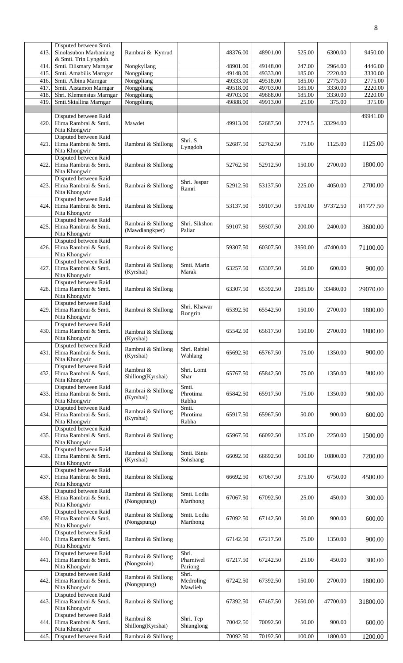| 413. | Disputed between Smti.<br>Sinolasubon Marbaniang               | Rambrai & Kynrud                     |                               | 48376.00 | 48901.00 | 525.00  | 6300.00  | 9450.00  |
|------|----------------------------------------------------------------|--------------------------------------|-------------------------------|----------|----------|---------|----------|----------|
|      | & Smti. Trin Lyngdoh.                                          |                                      |                               |          |          |         |          |          |
| 414  | Smti. Dlismary Marngar                                         | Nongkyllang                          |                               | 48901.00 | 49148.00 | 247.00  | 2964.00  | 4446.00  |
| 415. | Smti. Amabilis Marngar                                         | Nongpliang                           |                               | 49148.00 | 49333.00 | 185.00  | 2220.00  | 3330.00  |
|      |                                                                |                                      |                               |          |          |         |          |          |
| 416. | Smti. Albina Marngar                                           | Nongpliang                           |                               | 49333.00 | 49518.00 | 185.00  | 2775.00  | 2775.00  |
| 417  | Smti. Aistamon Marngar                                         | Nongpliang                           |                               | 49518.00 | 49703.00 | 185.00  | 3330.00  | 2220.00  |
| 418  | Shri. Klemensius Marngar                                       | Nongpliang                           |                               | 49703.00 | 49888.00 | 185.00  | 3330.00  | 2220.00  |
| 419  | Smti.Skiallina Marngar                                         | Nongpliang                           |                               | 49888.00 | 49913.00 | 25.00   | 375.00   | 375.00   |
|      |                                                                |                                      |                               |          |          |         |          |          |
|      |                                                                |                                      |                               |          |          |         |          |          |
| 420. | Disputed between Raid<br>Hima Rambrai & Smti.<br>Nita Khongwir | Mawdet                               |                               | 49913.00 | 52687.50 | 2774.5  | 33294.00 | 49941.00 |
| 421. | Disputed between Raid<br>Hima Rambrai & Smti.<br>Nita Khongwir | Rambrai & Shillong                   | Shri. S<br>Lyngdoh            | 52687.50 | 52762.50 | 75.00   | 1125.00  | 1125.00  |
| 422. | Disputed between Raid<br>Hima Rambrai & Smti.<br>Nita Khongwir | Rambrai & Shillong                   |                               | 52762.50 | 52912.50 | 150.00  | 2700.00  | 1800.00  |
| 423. | Disputed between Raid<br>Hima Rambrai & Smti.<br>Nita Khongwir | Rambrai & Shillong                   | Shri. Jespar<br>Ramri         | 52912.50 | 53137.50 | 225.00  | 4050.00  | 2700.00  |
| 424. | Disputed between Raid<br>Hima Rambrai & Smti.<br>Nita Khongwir | Rambrai & Shillong                   |                               | 53137.50 | 59107.50 | 5970.00 | 97372.50 | 81727.50 |
| 425. | Disputed between Raid<br>Hima Rambrai & Smti.<br>Nita Khongwir | Rambrai & Shillong<br>(Mawdiangkper) | Shri. Sikshon<br>Paliar       | 59107.50 | 59307.50 | 200.00  | 2400.00  | 3600.00  |
| 426. | Disputed between Raid<br>Hima Rambrai & Smti.<br>Nita Khongwir | Rambrai & Shillong                   |                               | 59307.50 | 60307.50 | 3950.00 | 47400.00 | 71100.00 |
| 427. | Disputed between Raid<br>Hima Rambrai & Smti.<br>Nita Khongwir | Rambrai & Shillong<br>(Kyrshai)      | Smti. Marin<br>Marak          | 63257.50 | 63307.50 | 50.00   | 600.00   | 900.00   |
| 428. | Disputed between Raid<br>Hima Rambrai & Smti.<br>Nita Khongwir | Rambrai & Shillong                   |                               | 63307.50 | 65392.50 | 2085.00 | 33480.00 | 29070.00 |
| 429. | Disputed between Raid<br>Hima Rambrai & Smti.<br>Nita Khongwir | Rambrai & Shillong                   | Shri. Khawar<br>Rongrin       | 65392.50 | 65542.50 | 150.00  | 2700.00  | 1800.00  |
| 430. | Disputed between Raid<br>Hima Rambrai & Smti.<br>Nita Khongwir | Rambrai & Shillong<br>(Kyrshai)      |                               | 65542.50 | 65617.50 | 150.00  | 2700.00  | 1800.00  |
| 431. | Disputed between Raid<br>Hima Rambrai & Smti.<br>Nita Khongwir | Rambrai & Shillong<br>(Kyrshai)      | Shri. Rabiel<br>Wahlang       | 65692.50 | 65767.50 | 75.00   | 1350.00  | 900.00   |
| 432. | Disputed between Raid<br>Hima Rambrai & Smti.<br>Nita Khongwir | Rambrai &<br>Shillong(Kyrshai)       | Shri. Lomi<br>Shar            | 65767.50 | 65842.50 | 75.00   | 1350.00  | 900.00   |
| 433. | Disputed between Raid<br>Hima Rambrai & Smti.<br>Nita Khongwir | Rambrai & Shillong<br>(Kyrshai)      | Smti.<br>Phrotima<br>Rabha    | 65842.50 | 65917.50 | 75.00   | 1350.00  | 900.00   |
| 434. | Disputed between Raid<br>Hima Rambrai & Smti.<br>Nita Khongwir | Rambrai & Shillong<br>(Kyrshai)      | Smti.<br>Phrotima<br>Rabha    | 65917.50 | 65967.50 | 50.00   | 900.00   | 600.00   |
| 435. | Disputed between Raid<br>Hima Rambrai & Smti.<br>Nita Khongwir | Rambrai & Shillong                   |                               | 65967.50 | 66092.50 | 125.00  | 2250.00  | 1500.00  |
| 436. | Disputed between Raid<br>Hima Rambrai & Smti.<br>Nita Khongwir | Rambrai & Shillong<br>(Kyrshai)      | Smti. Binis<br>Sohshang       | 66092.50 | 66692.50 | 600.00  | 10800.00 | 7200.00  |
| 437. | Disputed between Raid<br>Hima Rambrai & Smti.<br>Nita Khongwir | Rambrai & Shillong                   |                               | 66692.50 | 67067.50 | 375.00  | 6750.00  | 4500.00  |
| 438. | Disputed between Raid<br>Hima Rambrai & Smti.<br>Nita Khongwir | Rambrai & Shillong<br>(Nongspung)    | Smti. Lodia<br>Marthong       | 67067.50 | 67092.50 | 25.00   | 450.00   | 300.00   |
| 439. | Disputed between Raid<br>Hima Rambrai & Smti.<br>Nita Khongwir | Rambrai & Shillong<br>(Nongspung)    | Smti. Lodia<br>Marthong       | 67092.50 | 67142.50 | 50.00   | 900.00   | 600.00   |
| 440. | Disputed between Raid<br>Hima Rambrai & Smti.<br>Nita Khongwir | Rambrai & Shillong                   |                               | 67142.50 | 67217.50 | 75.00   | 1350.00  | 900.00   |
| 441. | Disputed between Raid<br>Hima Rambrai & Smti.<br>Nita Khongwir | Rambrai & Shillong<br>(Nongstoin)    | Shri.<br>Pharniwel<br>Pariong | 67217.50 | 67242.50 | 25.00   | 450.00   | 300.00   |
| 442. | Disputed between Raid<br>Hima Rambrai & Smti.<br>Nita Khongwir | Rambrai & Shillong<br>(Nongspung)    | Shri.<br>Medroling<br>Mawlieh | 67242.50 | 67392.50 | 150.00  | 2700.00  | 1800.00  |
| 443. | Disputed between Raid<br>Hima Rambrai & Smti.<br>Nita Khongwir | Rambrai & Shillong                   |                               | 67392.50 | 67467.50 | 2650.00 | 47700.00 | 31800.00 |
| 444. | Disputed between Raid<br>Hima Rambrai & Smti.<br>Nita Khongwir | Rambrai &<br>Shillong(Kyrshai)       | Shri. Tep<br>Shianglong       | 70042.50 | 70092.50 | 50.00   | 900.00   | 600.00   |
| 445. | Disputed between Raid                                          | Rambrai & Shillong                   |                               | 70092.50 | 70192.50 | 100.00  | 1800.00  | 1200.00  |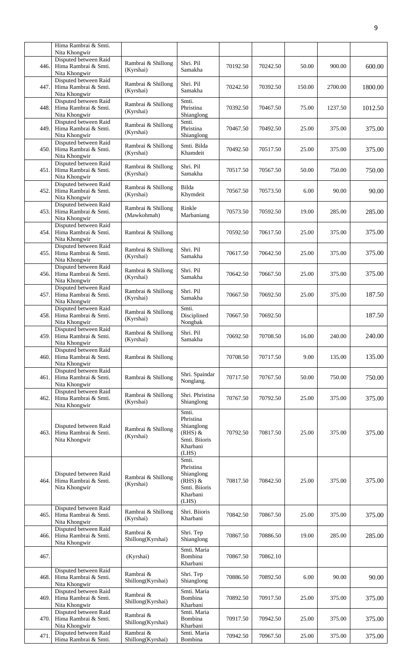|      | Hima Rambrai & Smti.<br>Nita Khongwir                          |                                   |                                                                                     |          |          |        |         |         |
|------|----------------------------------------------------------------|-----------------------------------|-------------------------------------------------------------------------------------|----------|----------|--------|---------|---------|
| 446. | Disputed between Raid<br>Hima Rambrai & Smti.<br>Nita Khongwir | Rambrai & Shillong<br>(Kyrshai)   | Shri. Pil<br>Samakha                                                                | 70192.50 | 70242.50 | 50.00  | 900.00  | 600.00  |
| 447. | Disputed between Raid<br>Hima Rambrai & Smti.<br>Nita Khongwir | Rambrai & Shillong<br>(Kyrshai)   | Shri. Pil<br>Samakha                                                                | 70242.50 | 70392.50 | 150.00 | 2700.00 | 1800.00 |
| 448. | Disputed between Raid<br>Hima Rambrai & Smti.<br>Nita Khongwir | Rambrai & Shillong<br>(Kyrshai)   | Smti.<br>Phristina<br>Shianglong                                                    | 70392.50 | 70467.50 | 75.00  | 1237.50 | 1012.50 |
| 449. | Disputed between Raid<br>Hima Rambrai & Smti.<br>Nita Khongwir | Rambrai & Shillong<br>(Kyrshai)   | Smti.<br>Phristina<br>Shianglong                                                    | 70467.50 | 70492.50 | 25.00  | 375.00  | 375.00  |
| 450. | Disputed between Raid<br>Hima Rambrai & Smti.<br>Nita Khongwir | Rambrai & Shillong<br>(Kyrshai)   | Smti. Bilda<br>Khamdeit                                                             | 70492.50 | 70517.50 | 25.00  | 375.00  | 375.00  |
| 451. | Disputed between Raid<br>Hima Rambrai & Smti.<br>Nita Khongwir | Rambrai & Shillong<br>(Kyrshai)   | Shri. Pil<br>Samakha                                                                | 70517.50 | 70567.50 | 50.00  | 750.00  | 750.00  |
| 452. | Disputed between Raid<br>Hima Rambrai & Smti.<br>Nita Khongwir | Rambrai & Shillong<br>(Kyrshai)   | Bilda<br>Khymdeit                                                                   | 70567.50 | 70573.50 | 6.00   | 90.00   | 90.00   |
| 453. | Disputed between Raid<br>Hima Rambrai & Smti.<br>Nita Khongwir | Rambrai & Shillong<br>(Mawkohmah) | Rinkle<br>Marbaniang                                                                | 70573.50 | 70592.50 | 19.00  | 285.00  | 285.00  |
| 454. | Disputed between Raid<br>Hima Rambrai & Smti.<br>Nita Khongwir | Rambrai & Shillong                |                                                                                     | 70592.50 | 70617.50 | 25.00  | 375.00  | 375.00  |
| 455. | Disputed between Raid<br>Hima Rambrai & Smti.<br>Nita Khongwir | Rambrai & Shillong<br>(Kyrshai)   | Shri. Pil<br>Samakha                                                                | 70617.50 | 70642.50 | 25.00  | 375.00  | 375.00  |
| 456. | Disputed between Raid<br>Hima Rambrai & Smti.<br>Nita Khongwir | Rambrai & Shillong<br>(Kyrshai)   | Shri. Pil<br>Samakha                                                                | 70642.50 | 70667.50 | 25.00  | 375.00  | 375.00  |
| 457. | Disputed between Raid<br>Hima Rambrai & Smti.<br>Nita Khongwir | Rambrai & Shillong<br>(Kyrshai)   | Shri. Pil<br>Samakha                                                                | 70667.50 | 70692.50 | 25.00  | 375.00  | 187.50  |
| 458. | Disputed between Raid<br>Hima Rambrai & Smti.<br>Nita Khongwir | Rambrai & Shillong<br>(Kyrshai)   | Smti.<br>Disciplined<br>Nongbak                                                     | 70667.50 | 70692.50 |        |         | 187.50  |
| 459. | Disputed between Raid<br>Hima Rambrai & Smti.<br>Nita Khongwir | Rambrai & Shillong<br>(Kyrshai)   | Shri. Pil<br>Samakha                                                                | 70692.50 | 70708.50 | 16.00  | 240.00  | 240.00  |
| 460. | Disputed between Raid<br>Hima Rambrai & Smti.<br>Nita Khongwir | Rambrai & Shillong                |                                                                                     | 70708.50 | 70717.50 | 9.00   | 135.00  | 135.00  |
| 461. | Disputed between Raid<br>Hima Rambrai & Smti.<br>Nita Khongwir | Rambrai & Shillong                | Shri. Spaindar<br>Nonglang.                                                         | 70717.50 | 70767.50 | 50.00  | 750.00  | 750.00  |
| 462. | Disputed between Raid<br>Hima Rambrai & Smti.<br>Nita Khongwir | Rambrai & Shillong<br>(Kyrshai)   | Shri. Phristina<br>Shianglong                                                       | 70767.50 | 70792.50 | 25.00  | 375.00  | 375.00  |
| 463. | Disputed between Raid<br>Hima Rambrai & Smti.<br>Nita Khongwir | Rambrai & Shillong<br>(Kyrshai)   | Smti.<br>Phristina<br>Shianglong<br>$(RHS)$ &<br>Smti. Biioris<br>Kharbani<br>(LHS) | 70792.50 | 70817.50 | 25.00  | 375.00  | 375.00  |
| 464. | Disputed between Raid<br>Hima Rambrai & Smti.<br>Nita Khongwir | Rambrai & Shillong<br>(Kyrshai)   | Smti.<br>Phristina<br>Shianglong<br>$(RHS)$ &<br>Smti. Biioris<br>Kharbani<br>(LHS) | 70817.50 | 70842.50 | 25.00  | 375.00  | 375.00  |
| 465. | Disputed between Raid<br>Hima Rambrai & Smti.<br>Nita Khongwir | Rambrai & Shillong<br>(Kyrshai)   | Shri. Biioris<br>Kharbani                                                           | 70842.50 | 70867.50 | 25.00  | 375.00  | 375.00  |
| 466. | Disputed between Raid<br>Hima Rambrai & Smti.<br>Nita Khongwir | Rambrai &<br>Shillong(Kyrshai)    | Shri. Tep<br>Shianglong                                                             | 70867.50 | 70886.50 | 19.00  | 285.00  | 285.00  |
| 467. |                                                                | (Kyrshai)                         | Smti. Maria<br>Bombina<br>Kharbani                                                  | 70867.50 | 70862.10 |        |         |         |
| 468. | Disputed between Raid<br>Hima Rambrai & Smti.<br>Nita Khongwir | Rambrai &<br>Shillong(Kyrshai)    | Shri. Tep<br>Shianglong                                                             | 70886.50 | 70892.50 | 6.00   | 90.00   | 90.00   |
| 469. | Disputed between Raid<br>Hima Rambrai & Smti.<br>Nita Khongwir | Rambrai &<br>Shillong(Kyrshai)    | Smti. Maria<br>Bombina<br>Kharbani                                                  | 70892.50 | 70917.50 | 25.00  | 375.00  | 375.00  |
| 470. | Disputed between Raid<br>Hima Rambrai & Smti.<br>Nita Khongwir | Rambrai &<br>Shillong(Kyrshai)    | Smti. Maria<br>Bombina<br>Kharbani                                                  | 70917.50 | 70942.50 | 25.00  | 375.00  | 375.00  |
| 471. | Disputed between Raid<br>Hima Rambrai & Smti.                  | Rambrai &<br>Shillong(Kyrshai)    | Smti. Maria<br>Bombina                                                              | 70942.50 | 70967.50 | 25.00  | 375.00  | 375.00  |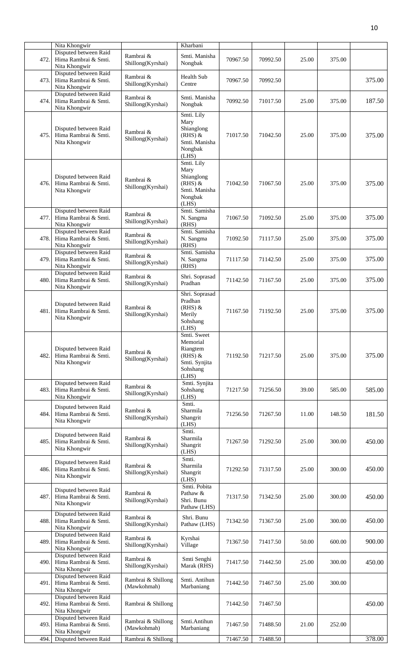|      | Nita Khongwir                                                  |                                   | Kharbani                                                                               |          |          |       |        |        |
|------|----------------------------------------------------------------|-----------------------------------|----------------------------------------------------------------------------------------|----------|----------|-------|--------|--------|
| 472. | Disputed between Raid<br>Hima Rambrai & Smti.<br>Nita Khongwir | Rambrai &<br>Shillong(Kyrshai)    | Smti. Manisha<br>Nongbak                                                               | 70967.50 | 70992.50 | 25.00 | 375.00 |        |
| 473. | Disputed between Raid<br>Hima Rambrai & Smti.<br>Nita Khongwir | Rambrai &<br>Shillong(Kyrshai)    | Health Sub<br>Centre                                                                   | 70967.50 | 70992.50 |       |        | 375.00 |
| 474. | Disputed between Raid<br>Hima Rambrai & Smti.<br>Nita Khongwir | Rambrai &<br>Shillong(Kyrshai)    | Smti. Manisha<br>Nongbak                                                               | 70992.50 | 71017.50 | 25.00 | 375.00 | 187.50 |
| 475. | Disputed between Raid<br>Hima Rambrai & Smti.<br>Nita Khongwir | Rambrai &<br>Shillong(Kyrshai)    | Smti. Lily<br>Mary<br>Shianglong<br>$(RHS)$ &<br>Smti. Manisha<br>Nongbak<br>(LHS)     | 71017.50 | 71042.50 | 25.00 | 375.00 | 375.00 |
| 476. | Disputed between Raid<br>Hima Rambrai & Smti.<br>Nita Khongwir | Rambrai &<br>Shillong(Kyrshai)    | Smti. Lily<br>Mary<br>Shianglong<br>$(RHS)$ &<br>Smti. Manisha<br>Nongbak<br>(LHS)     | 71042.50 | 71067.50 | 25.00 | 375.00 | 375.00 |
| 477. | Disputed between Raid<br>Hima Rambrai & Smti.<br>Nita Khongwir | Rambrai &<br>Shillong(Kyrshai)    | Smti. Samisha<br>N. Sangma<br>(RHS)                                                    | 71067.50 | 71092.50 | 25.00 | 375.00 | 375.00 |
| 478. | Disputed between Raid<br>Hima Rambrai & Smti.<br>Nita Khongwir | Rambrai &<br>Shillong(Kyrshai)    | Smti. Samisha<br>N. Sangma<br>(RHS)                                                    | 71092.50 | 71117.50 | 25.00 | 375.00 | 375.00 |
| 479. | Disputed between Raid<br>Hima Rambrai & Smti.<br>Nita Khongwir | Rambrai &<br>Shillong(Kyrshai)    | Smti. Samisha<br>N. Sangma<br>(RHS)                                                    | 71117.50 | 71142.50 | 25.00 | 375.00 | 375.00 |
| 480. | Disputed between Raid<br>Hima Rambrai & Smti.<br>Nita Khongwir | Rambrai &<br>Shillong(Kyrshai)    | Shri. Soprasad<br>Pradhan                                                              | 71142.50 | 71167.50 | 25.00 | 375.00 | 375.00 |
| 481. | Disputed between Raid<br>Hima Rambrai & Smti.<br>Nita Khongwir | Rambrai &<br>Shillong(Kyrshai)    | Shri. Soprasad<br>Pradhan<br>$(RHS)$ &<br>Merily<br>Sohshang<br>(LHS)                  | 71167.50 | 71192.50 | 25.00 | 375.00 | 375.00 |
| 482. | Disputed between Raid<br>Hima Rambrai & Smti.<br>Nita Khongwir | Rambrai &<br>Shillong(Kyrshai)    | Smti. Sweet<br>Memorial<br>Riangtem<br>$(RHS)$ &<br>Smti. Synjita<br>Sohshang<br>(LHS) | 71192.50 | 71217.50 | 25.00 | 375.00 | 375.00 |
| 483. | Disputed between Raid<br>Hima Rambrai & Smti.<br>Nita Khongwir | Rambrai &<br>Shillong(Kyrshai)    | Smti. Synjita<br>Sohshang<br>(LHS)                                                     | 71217.50 | 71256.50 | 39.00 | 585.00 | 585.00 |
| 484. | Disputed between Raid<br>Hima Rambrai & Smti.<br>Nita Khongwir | Rambrai &<br>Shillong(Kyrshai)    | Smti.<br>Sharmila<br>Shangrit<br>(LHS)                                                 | 71256.50 | 71267.50 | 11.00 | 148.50 | 181.50 |
| 485. | Disputed between Raid<br>Hima Rambrai & Smti.<br>Nita Khongwir | Rambrai &<br>Shillong(Kyrshai)    | Smti.<br>Sharmila<br>Shangrit<br>(LHS)                                                 | 71267.50 | 71292.50 | 25.00 | 300.00 | 450.00 |
| 486. | Disputed between Raid<br>Hima Rambrai & Smti.<br>Nita Khongwir | Rambrai &<br>Shillong(Kyrshai)    | Smti.<br>Sharmila<br>Shangrit<br>(LHS)                                                 | 71292.50 | 71317.50 | 25.00 | 300.00 | 450.00 |
| 487. | Disputed between Raid<br>Hima Rambrai & Smti.<br>Nita Khongwir | Rambrai &<br>Shillong(Kyrshai)    | Smti. Pobita<br>Pathaw &<br>Shri. Bunu<br>Pathaw (LHS)                                 | 71317.50 | 71342.50 | 25.00 | 300.00 | 450.00 |
| 488. | Disputed between Raid<br>Hima Rambrai & Smti.<br>Nita Khongwir | Rambrai &<br>Shillong(Kyrshai)    | Shri. Bunu<br>Pathaw (LHS)                                                             | 71342.50 | 71367.50 | 25.00 | 300.00 | 450.00 |
| 489. | Disputed between Raid<br>Hima Rambrai & Smti.<br>Nita Khongwir | Rambrai &<br>Shillong(Kyrshai)    | Kyrshai<br>Village                                                                     | 71367.50 | 71417.50 | 50.00 | 600.00 | 900.00 |
| 490. | Disputed between Raid<br>Hima Rambrai & Smti.<br>Nita Khongwir | Rambrai &<br>Shillong(Kyrshai)    | Smti Senghi<br>Marak (RHS)                                                             | 71417.50 | 71442.50 | 25.00 | 300.00 | 450.00 |
| 491. | Disputed between Raid<br>Hima Rambrai & Smti.<br>Nita Khongwir | Rambrai & Shillong<br>(Mawkohmah) | Smti. Antihun<br>Marbaniang                                                            | 71442.50 | 71467.50 | 25.00 | 300.00 |        |
| 492. | Disputed between Raid<br>Hima Rambrai & Smti.<br>Nita Khongwir | Rambrai & Shillong                |                                                                                        | 71442.50 | 71467.50 |       |        | 450.00 |
| 493. | Disputed between Raid<br>Hima Rambrai & Smti.<br>Nita Khongwir | Rambrai & Shillong<br>(Mawkohmah) | Smti.Antihun<br>Marbaniang                                                             | 71467.50 | 71488.50 | 21.00 | 252.00 |        |
| 494. | Disputed between Raid                                          | Rambrai & Shillong                |                                                                                        | 71467.50 | 71488.50 |       |        | 378.00 |